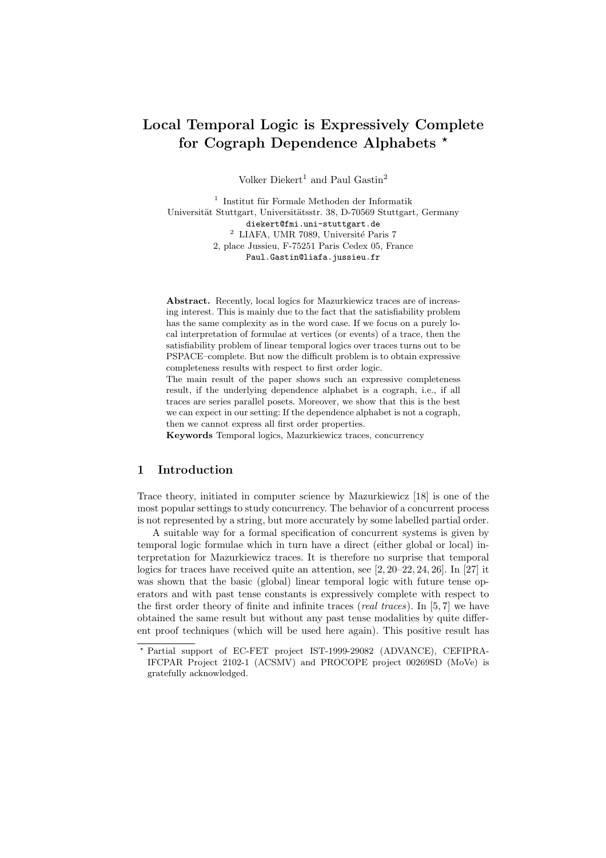# Local Temporal Logic is Expressively Complete for Cograph Dependence Alphabets \*

Volker Diekert<sup>1</sup> and Paul Gastin<sup>2</sup>

 $^{\rm 1}$ Institut für Formale Methoden der Informatik Universität Stuttgart, Universitätsstr. 38, D-70569 Stuttgart, Germany diekert@fmi.uni-stuttgart.de  $^2$  LIAFA, UMR 7089, Université Paris 7 2, place Jussieu, F-75251 Paris Cedex 05, France Paul.Gastin@liafa.jussieu.fr

Abstract. Recently, local logics for Mazurkiewicz traces are of increasing interest. This is mainly due to the fact that the satisfiability problem has the same complexity as in the word case. If we focus on a purely local interpretation of formulae at vertices (or events) of a trace, then the satisfiability problem of linear temporal logics over traces turns out to be PSPACE–complete. But now the difficult problem is to obtain expressive completeness results with respect to first order logic.

The main result of the paper shows such an expressive completeness result, if the underlying dependence alphabet is a cograph, i.e., if all traces are series parallel posets. Moreover, we show that this is the best we can expect in our setting: If the dependence alphabet is not a cograph, then we cannot express all first order properties.

Keywords Temporal logics, Mazurkiewicz traces, concurrency

#### 1 Introduction

Trace theory, initiated in computer science by Mazurkiewicz [18] is one of the most popular settings to study concurrency. The behavior of a concurrent process is not represented by a string, but more accurately by some labelled partial order.

A suitable way for a formal specification of concurrent systems is given by temporal logic formulae which in turn have a direct (either global or local) interpretation for Mazurkiewicz traces. It is therefore no surprise that temporal logics for traces have received quite an attention, see [2, 20–22, 24, 26]. In [27] it was shown that the basic (global) linear temporal logic with future tense operators and with past tense constants is expressively complete with respect to the first order theory of finite and infinite traces (real traces). In [5, 7] we have obtained the same result but without any past tense modalities by quite different proof techniques (which will be used here again). This positive result has

<sup>?</sup> Partial support of EC-FET project IST-1999-29082 (ADVANCE), CEFIPRA-IFCPAR Project 2102-1 (ACSMV) and PROCOPE project 00269SD (MoVe) is gratefully acknowledged.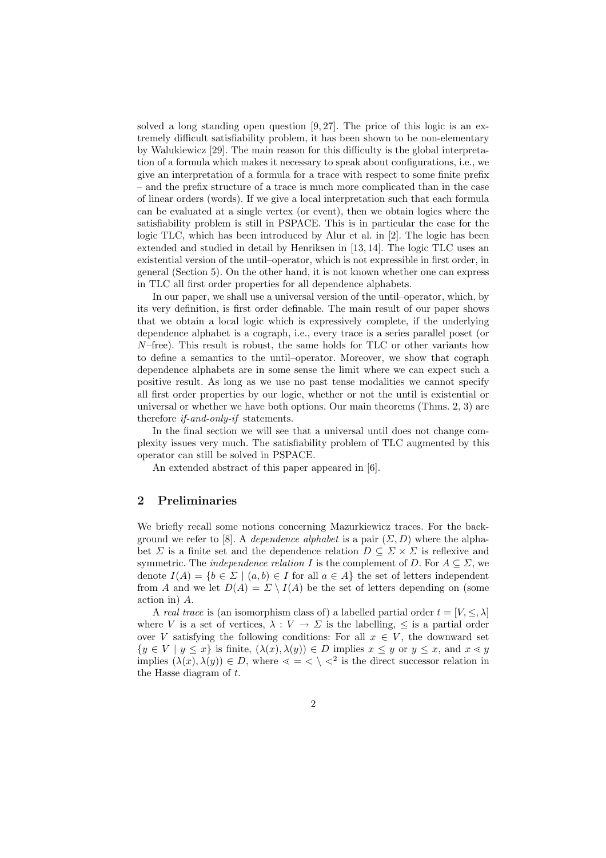solved a long standing open question  $[9, 27]$ . The price of this logic is an extremely difficult satisfiability problem, it has been shown to be non-elementary by Walukiewicz [29]. The main reason for this difficulty is the global interpretation of a formula which makes it necessary to speak about configurations, i.e., we give an interpretation of a formula for a trace with respect to some finite prefix – and the prefix structure of a trace is much more complicated than in the case of linear orders (words). If we give a local interpretation such that each formula can be evaluated at a single vertex (or event), then we obtain logics where the satisfiability problem is still in PSPACE. This is in particular the case for the logic TLC, which has been introduced by Alur et al. in [2]. The logic has been extended and studied in detail by Henriksen in [13, 14]. The logic TLC uses an existential version of the until–operator, which is not expressible in first order, in general (Section 5). On the other hand, it is not known whether one can express in TLC all first order properties for all dependence alphabets.

In our paper, we shall use a universal version of the until–operator, which, by its very definition, is first order definable. The main result of our paper shows that we obtain a local logic which is expressively complete, if the underlying dependence alphabet is a cograph, i.e., every trace is a series parallel poset (or  $N$ –free). This result is robust, the same holds for TLC or other variants how to define a semantics to the until–operator. Moreover, we show that cograph dependence alphabets are in some sense the limit where we can expect such a positive result. As long as we use no past tense modalities we cannot specify all first order properties by our logic, whether or not the until is existential or universal or whether we have both options. Our main theorems (Thms. 2, 3) are therefore if-and-only-if statements.

In the final section we will see that a universal until does not change complexity issues very much. The satisfiability problem of TLC augmented by this operator can still be solved in PSPACE.

An extended abstract of this paper appeared in [6].

#### 2 Preliminaries

We briefly recall some notions concerning Mazurkiewicz traces. For the background we refer to [8]. A *dependence alphabet* is a pair  $(\Sigma, D)$  where the alphabet  $\Sigma$  is a finite set and the dependence relation  $D \subseteq \Sigma \times \Sigma$  is reflexive and symmetric. The *independence relation* I is the complement of D. For  $A \subseteq \Sigma$ , we denote  $I(A) = \{b \in \Sigma \mid (a, b) \in I \text{ for all } a \in A\}$  the set of letters independent from A and we let  $D(A) = \Sigma \setminus I(A)$  be the set of letters depending on (some action in) A.

A real trace is (an isomorphism class of) a labelled partial order  $t = [V, \leq, \lambda]$ where V is a set of vertices,  $\lambda: V \to \Sigma$  is the labelling,  $\leq$  is a partial order over V satisfying the following conditions: For all  $x \in V$ , the downward set  ${y \in V \mid y \leq x}$  is finite,  $(\lambda(x), \lambda(y)) \in D$  implies  $x \leq y$  or  $y \leq x$ , and  $x \leq y$ implies  $(\lambda(x), \lambda(y)) \in D$ , where  $\langle \xi \rangle \langle \xi \rangle$  is the direct successor relation in the Hasse diagram of  $t$ .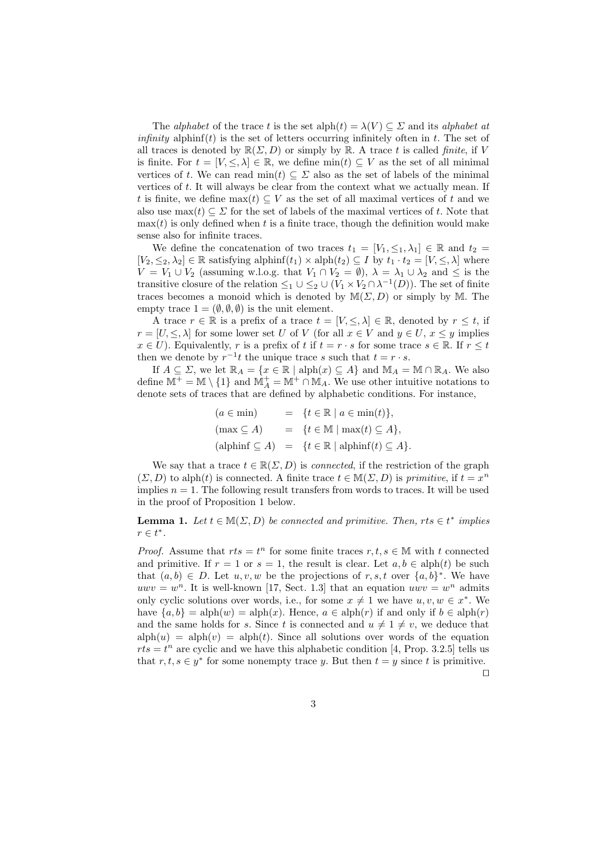The *alphabet* of the trace t is the set  $\text{alph}(t) = \lambda(V) \subseteq \Sigma$  and its *alphabet* at *infinity* alphinf $(t)$  is the set of letters occurring infinitely often in t. The set of all traces is denoted by  $\mathbb{R}(\Sigma, D)$  or simply by R. A trace t is called finite, if V is finite. For  $t = [V, \leq, \lambda] \in \mathbb{R}$ , we define  $\min(t) \subseteq V$  as the set of all minimal vertices of t. We can read min(t)  $\subseteq \Sigma$  also as the set of labels of the minimal vertices of  $t$ . It will always be clear from the context what we actually mean. If t is finite, we define  $\max(t) \subseteq V$  as the set of all maximal vertices of t and we also use  $\max(t) \subseteq \Sigma$  for the set of labels of the maximal vertices of t. Note that  $\max(t)$  is only defined when t is a finite trace, though the definition would make sense also for infinite traces.

We define the concatenation of two traces  $t_1 = [V_1, \leq_1, \lambda_1] \in \mathbb{R}$  and  $t_2 =$  $[V_2, \leq_2, \lambda_2] \in \mathbb{R}$  satisfying alphinf $(t_1) \times \text{alph}(t_2) \subseteq I$  by  $t_1 \cdot t_2 = [V, \leq, \lambda]$  where  $V = V_1 \cup V_2$  (assuming w.l.o.g. that  $V_1 \cap V_2 = \emptyset$ ),  $\lambda = \lambda_1 \cup \lambda_2$  and  $\leq$  is the transitive closure of the relation  $\leq_1 \cup \leq_2 \cup (V_1 \times V_2 \cap \lambda^{-1}(D))$ . The set of finite traces becomes a monoid which is denoted by  $\mathbb{M}(\Sigma, D)$  or simply by M. The empty trace  $1 = (\emptyset, \emptyset, \emptyset)$  is the unit element.

A trace  $r \in \mathbb{R}$  is a prefix of a trace  $t = [V, \leq, \lambda] \in \mathbb{R}$ , denoted by  $r \leq t$ , if  $r = [U, \leq, \lambda]$  for some lower set U of V (for all  $x \in V$  and  $y \in U, x \leq y$  implies  $x \in U$ ). Equivalently, r is a prefix of t if  $t = r \cdot s$  for some trace  $s \in \mathbb{R}$ . If  $r \leq t$ then we denote by  $r^{-1}t$  the unique trace s such that  $t = r \cdot s$ .

If  $A \subseteq \Sigma$ , we let  $\mathbb{R}_A = \{x \in \mathbb{R} \mid \text{alph}(x) \subseteq A\}$  and  $\mathbb{M}_A = \mathbb{M} \cap \mathbb{R}_A$ . We also define  $\mathbb{M}^+ = \mathbb{M} \setminus \{1\}$  and  $\mathbb{M}_A^+ = \mathbb{M}^+ \cap \mathbb{M}_A$ . We use other intuitive notations to denote sets of traces that are defined by alphabetic conditions. For instance,

$$
(a \in \min) = \{t \in \mathbb{R} \mid a \in \min(t)\},
$$
  
\n
$$
(\max \subseteq A) = \{t \in \mathbb{M} \mid \max(t) \subseteq A\},
$$
  
\n
$$
(\text{alpha of } \subseteq A) = \{t \in \mathbb{R} \mid \text{alpha}(t) \subseteq A\}.
$$

We say that a trace  $t \in \mathbb{R}(\Sigma, D)$  is *connected*, if the restriction of the graph  $(\Sigma, D)$  to alph(t) is connected. A finite trace  $t \in M(\Sigma, D)$  is primitive, if  $t = x^n$ implies  $n = 1$ . The following result transfers from words to traces. It will be used in the proof of Proposition 1 below.

**Lemma 1.** Let  $t \in M(\Sigma, D)$  be connected and primitive. Then, rts  $\in t^*$  implies  $r \in t^*$ .

*Proof.* Assume that  $rts = t^n$  for some finite traces  $r, t, s \in \mathbb{M}$  with t connected and primitive. If  $r = 1$  or  $s = 1$ , the result is clear. Let  $a, b \in \text{alph}(t)$  be such that  $(a, b) \in D$ . Let  $u, v, w$  be the projections of  $r, s, t$  over  $\{a, b\}^*$ . We have  $uvw = w<sup>n</sup>$ . It is well-known [17, Sect. 1.3] that an equation  $uvw = w<sup>n</sup>$  admits only cyclic solutions over words, i.e., for some  $x \neq 1$  we have  $u, v, w \in x^*$ . We have  ${a, b} = \text{alph}(w) = \text{alph}(x)$ . Hence,  $a \in \text{alph}(r)$  if and only if  $b \in \text{alph}(r)$ and the same holds for s. Since t is connected and  $u \neq 1 \neq v$ , we deduce that  $\text{alpha}(u) = \text{alpha}(v) = \text{alpha}(t)$ . Since all solutions over words of the equation  $rts = t^n$  are cyclic and we have this alphabetic condition [4, Prop. 3.2.5] tells us that  $r, t, s \in y^*$  for some nonempty trace y. But then  $t = y$  since t is primitive.

 $\Box$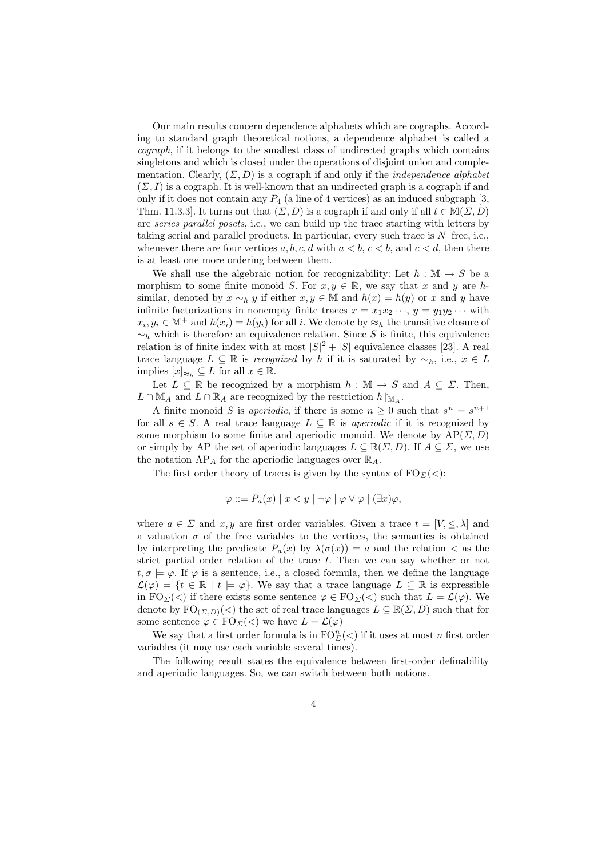Our main results concern dependence alphabets which are cographs. According to standard graph theoretical notions, a dependence alphabet is called a cograph, if it belongs to the smallest class of undirected graphs which contains singletons and which is closed under the operations of disjoint union and complementation. Clearly,  $(\Sigma, D)$  is a cograph if and only if the *independence alphabet*  $(\Sigma, I)$  is a cograph. It is well-known that an undirected graph is a cograph if and only if it does not contain any  $P_4$  (a line of 4 vertices) as an induced subgraph [3, Thm. 11.3.3]. It turns out that  $(\Sigma, D)$  is a cograph if and only if all  $t \in M(\Sigma, D)$ are series parallel posets, i.e., we can build up the trace starting with letters by taking serial and parallel products. In particular, every such trace is N–free, i.e., whenever there are four vertices a, b, c, d with  $a < b$ ,  $c < b$ , and  $c < d$ , then there is at least one more ordering between them.

We shall use the algebraic notion for recognizability: Let  $h : \mathbb{M} \to S$  be a morphism to some finite monoid S. For  $x, y \in \mathbb{R}$ , we say that x and y are hsimilar, denoted by  $x \sim_h y$  if either  $x, y \in M$  and  $h(x) = h(y)$  or x and y have infinite factorizations in nonempty finite traces  $x = x_1x_2 \cdots$ ,  $y = y_1y_2 \cdots$  with  $x_i, y_i \in \mathbb{M}^+$  and  $h(x_i) = h(y_i)$  for all i. We denote by  $\approx_h$  the transitive closure of  $\sim_h$  which is therefore an equivalence relation. Since S is finite, this equivalence relation is of finite index with at most  $|S|^2 + |S|$  equivalence classes [23]. A real trace language  $L \subseteq \mathbb{R}$  is recognized by h if it is saturated by  $\sim_h$ , i.e.,  $x \in L$ implies  $[x]_{\approx_h} \subseteq L$  for all  $x \in \mathbb{R}$ .

Let  $L \subseteq \mathbb{R}$  be recognized by a morphism  $h : \mathbb{M} \to S$  and  $A \subseteq \Sigma$ . Then,  $L \cap M_A$  and  $L \cap \mathbb{R}_A$  are recognized by the restriction  $h \upharpoonright_{M_A}$ .

A finite monoid S is *aperiodic*, if there is some  $n \geq 0$  such that  $s^n = s^{n+1}$ for all  $s \in S$ . A real trace language  $L \subseteq \mathbb{R}$  is *aperiodic* if it is recognized by some morphism to some finite and aperiodic monoid. We denote by  $AP(\Sigma, D)$ or simply by AP the set of aperiodic languages  $L \subseteq \mathbb{R}(\Sigma, D)$ . If  $A \subseteq \Sigma$ , we use the notation  $AP_A$  for the aperiodic languages over  $\mathbb{R}_A$ .

The first order theory of traces is given by the syntax of  $FO_\Sigma(\langle \rangle)$ :

$$
\varphi ::= P_a(x) | x < y | \neg \varphi | \varphi \vee \varphi | (\exists x) \varphi,
$$

where  $a \in \Sigma$  and  $x, y$  are first order variables. Given a trace  $t = [V, \leq, \lambda]$  and a valuation  $\sigma$  of the free variables to the vertices, the semantics is obtained by interpreting the predicate  $P_a(x)$  by  $\lambda(\sigma(x)) = a$  and the relation  $\lt$  as the strict partial order relation of the trace t. Then we can say whether or not  $t, \sigma \models \varphi$ . If  $\varphi$  is a sentence, i.e., a closed formula, then we define the language  $\mathcal{L}(\varphi) = \{t \in \mathbb{R} \mid t \models \varphi\}.$  We say that a trace language  $L \subseteq \mathbb{R}$  is expressible in  $\mathrm{FO}_{\Sigma}(<)$  if there exists some sentence  $\varphi \in \mathrm{FO}_{\Sigma}(<)$  such that  $L = \mathcal{L}(\varphi)$ . We denote by  $\mathrm{FO}_{(\Sigma,D)}(\leq)$  the set of real trace languages  $L \subseteq \mathbb{R}(\Sigma,D)$  such that for some sentence  $\varphi \in \mathrm{FO}_{\Sigma}(<)$  we have  $L = \mathcal{L}(\varphi)$ 

We say that a first order formula is in  $\mathrm{FO}^n_{\Sigma}(<)$  if it uses at most n first order variables (it may use each variable several times).

The following result states the equivalence between first-order definability and aperiodic languages. So, we can switch between both notions.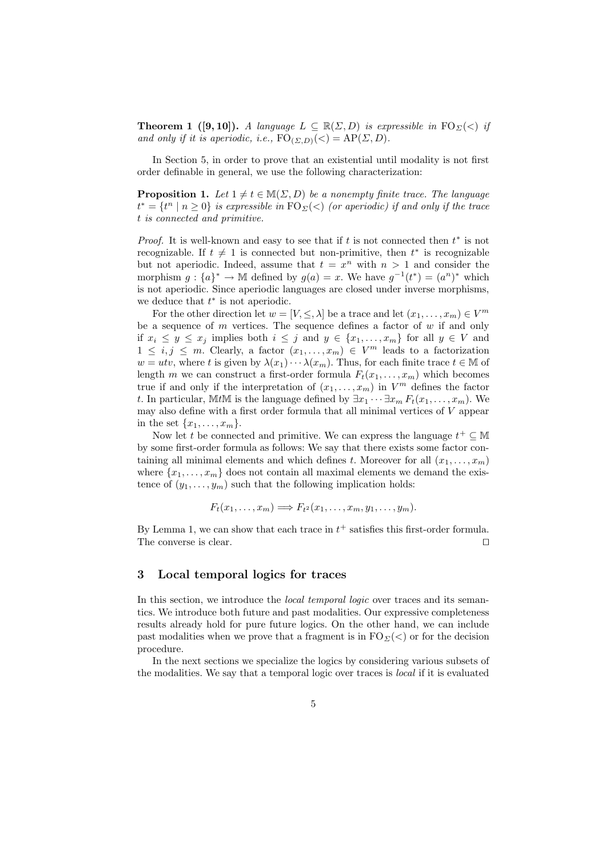**Theorem 1 ([9, 10]).** A language  $L \subseteq \mathbb{R}(\Sigma, D)$  is expressible in  $\text{FO}_{\Sigma}(\langle)$  if and only if it is aperiodic, i.e.,  $\mathrm{FO}_{(\Sigma,D)}(<) = \mathrm{AP}(\Sigma, D)$ .

In Section 5, in order to prove that an existential until modality is not first order definable in general, we use the following characterization:

**Proposition 1.** Let  $1 \neq t \in M(\Sigma, D)$  be a nonempty finite trace. The language  $t^* = \{t^n | n \geq 0\}$  is expressible in  $\mathrm{FO}_{\Sigma}(<)$  (or aperiodic) if and only if the trace t is connected and primitive.

*Proof.* It is well-known and easy to see that if  $t$  is not connected then  $t^*$  is not recognizable. If  $t \neq 1$  is connected but non-primitive, then  $t^*$  is recognizable but not aperiodic. Indeed, assume that  $t = x^n$  with  $n > 1$  and consider the morphism  $g: \{a\}^* \to \mathbb{M}$  defined by  $g(a) = x$ . We have  $g^{-1}(t^*) = (a^n)^*$  which is not aperiodic. Since aperiodic languages are closed under inverse morphisms, we deduce that  $t^*$  is not aperiodic.

For the other direction let  $w = [V, \leq, \lambda]$  be a trace and let  $(x_1, \ldots, x_m) \in V^m$ be a sequence of  $m$  vertices. The sequence defines a factor of  $w$  if and only if  $x_i \leq y \leq x_j$  implies both  $i \leq j$  and  $y \in \{x_1, \ldots, x_m\}$  for all  $y \in V$  and  $1 \leq i, j \leq m$ . Clearly, a factor  $(x_1, \ldots, x_m) \in V^m$  leads to a factorization  $w = utv$ , where t is given by  $\lambda(x_1) \cdots \lambda(x_m)$ . Thus, for each finite trace  $t \in \mathbb{M}$  of length m we can construct a first-order formula  $F_t(x_1, \ldots, x_m)$  which becomes true if and only if the interpretation of  $(x_1, \ldots, x_m)$  in  $V^m$  defines the factor t. In particular, MtM is the language defined by  $\exists x_1 \cdots \exists x_m F_t(x_1, \ldots, x_m)$ . We may also define with a first order formula that all minimal vertices of V appear in the set  $\{x_1, \ldots, x_m\}$ .

Now let t be connected and primitive. We can express the language  $t^+ \subseteq M$ by some first-order formula as follows: We say that there exists some factor containing all minimal elements and which defines t. Moreover for all  $(x_1, \ldots, x_m)$ where  $\{x_1, \ldots, x_m\}$  does not contain all maximal elements we demand the existence of  $(y_1, \ldots, y_m)$  such that the following implication holds:

$$
F_t(x_1,\ldots,x_m)\Longrightarrow F_{t^2}(x_1,\ldots,x_m,y_1,\ldots,y_m).
$$

By Lemma 1, we can show that each trace in  $t^+$  satisfies this first-order formula. The converse is clear.  $\Box$ 

#### 3 Local temporal logics for traces

In this section, we introduce the *local temporal logic* over traces and its semantics. We introduce both future and past modalities. Our expressive completeness results already hold for pure future logics. On the other hand, we can include past modalities when we prove that a fragment is in  $\mathrm{FO}_{\Sigma}(<)$  or for the decision procedure.

In the next sections we specialize the logics by considering various subsets of the modalities. We say that a temporal logic over traces is local if it is evaluated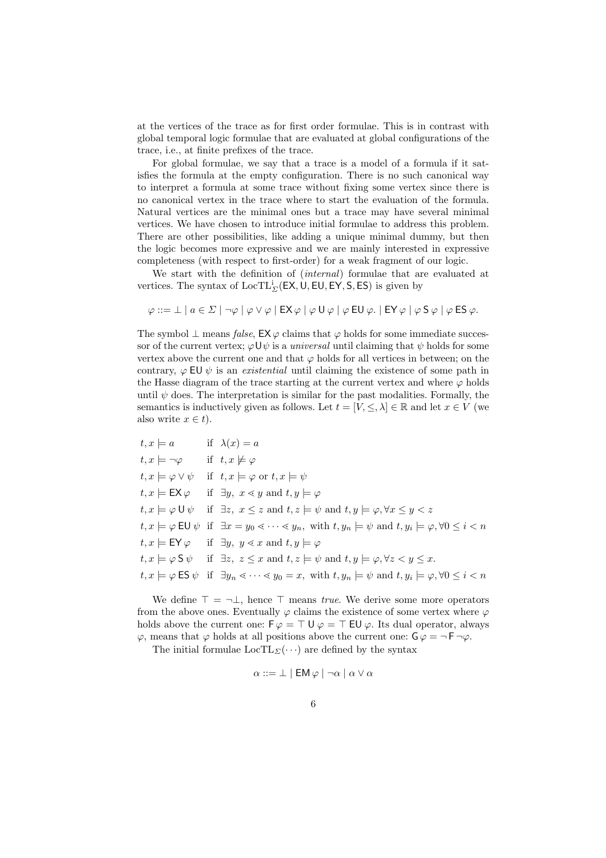at the vertices of the trace as for first order formulae. This is in contrast with global temporal logic formulae that are evaluated at global configurations of the trace, i.e., at finite prefixes of the trace.

For global formulae, we say that a trace is a model of a formula if it satisfies the formula at the empty configuration. There is no such canonical way to interpret a formula at some trace without fixing some vertex since there is no canonical vertex in the trace where to start the evaluation of the formula. Natural vertices are the minimal ones but a trace may have several minimal vertices. We have chosen to introduce initial formulae to address this problem. There are other possibilities, like adding a unique minimal dummy, but then the logic becomes more expressive and we are mainly interested in expressive completeness (with respect to first-order) for a weak fragment of our logic.

We start with the definition of *(internal)* formulae that are evaluated at vertices. The syntax of  $LocTL_{\Sigma}^{i}(\textsf{EX}, \textsf{U}, \textsf{EU}, \textsf{EY}, \textsf{S}, \textsf{ES})$  is given by

$$
\varphi ::= \bot \mid a \in \Sigma \mid \neg \varphi \mid \varphi \lor \varphi \mid \text{EX } \varphi \mid \varphi \cup \varphi \mid \varphi \text{ EU } \varphi. \mid \text{EY } \varphi \mid \varphi \text{ S } \varphi \mid \varphi \text{ ES } \varphi.
$$

The symbol  $\perp$  means *false*,  $EX \varphi$  claims that  $\varphi$  holds for some immediate successor of the current vertex;  $\varphi \mathsf{U} \psi$  is a universal until claiming that  $\psi$  holds for some vertex above the current one and that  $\varphi$  holds for all vertices in between; on the contrary,  $\varphi$  EU  $\psi$  is an *existential* until claiming the existence of some path in the Hasse diagram of the trace starting at the current vertex and where  $\varphi$  holds until  $\psi$  does. The interpretation is similar for the past modalities. Formally, the semantics is inductively given as follows. Let  $t = [V, \leq, \lambda] \in \mathbb{R}$  and let  $x \in V$  (we also write  $x \in t$ .

$$
t, x \models a \qquad \text{if } \lambda(x) = a
$$
  
\n
$$
t, x \models \neg \varphi \qquad \text{if } t, x \not\models \varphi
$$
  
\n
$$
t, x \models \varphi \lor \psi \qquad \text{if } t, x \models \varphi \text{ or } t, x \models \psi
$$
  
\n
$$
t, x \models \mathsf{EX} \varphi \qquad \text{if } \exists y, \ x \leq y \text{ and } t, y \models \varphi
$$
  
\n
$$
t, x \models \varphi \mathsf{U} \psi \qquad \text{if } \exists z, \ x \leq z \text{ and } t, z \models \psi \text{ and } t, y \models \varphi, \forall x \leq y < z
$$
  
\n
$$
t, x \models \varphi \mathsf{EU} \psi \qquad \text{if } \exists x = y_0 \leq \cdots \leq y_n, \text{ with } t, y_n \models \psi \text{ and } t, y \models \varphi, \forall 0 \leq i < n
$$
  
\n
$$
t, x \models \mathsf{EY} \varphi \qquad \text{if } \exists y, \ y \leq x \text{ and } t, y \models \varphi
$$
  
\n
$$
t, x \models \varphi \mathsf{S} \psi \qquad \text{if } \exists z, \ z \leq x \text{ and } t, z \models \psi \text{ and } t, y \models \varphi, \forall z < y \leq x.
$$
  
\n
$$
t, x \models \varphi \mathsf{ES} \psi \qquad \text{if } \exists y_n \leq \cdots \leq y_0 = x, \text{ with } t, y_n \models \psi \text{ and } t, y \models \varphi, \forall 0 \leq i < n
$$

We define  $\top = \neg \bot$ , hence  $\top$  means true. We derive some more operators from the above ones. Eventually  $\varphi$  claims the existence of some vertex where  $\varphi$ holds above the current one:  $\mathsf{F}\varphi = \mathsf{T}\cup \varphi = \mathsf{T}\,\mathsf{EU}\,\varphi$ . Its dual operator, always  $\varphi$ , means that  $\varphi$  holds at all positions above the current one:  $\mathsf{G}\varphi = \neg \mathsf{F} \neg \varphi$ .

The initial formulae  $LocTL_{\Sigma}(\cdots)$  are defined by the syntax

$$
\alpha ::= \bot \mid \mathsf{EM} \, \varphi \mid \neg \alpha \mid \alpha \vee \alpha
$$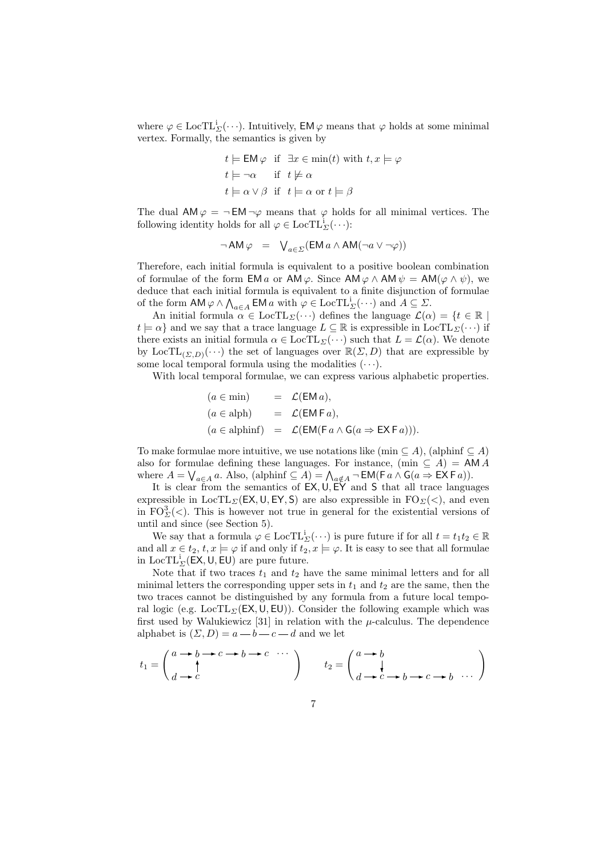where  $\varphi \in LocTL_{\Sigma}^i(\cdots)$ . Intuitively,  $\text{EM } \varphi$  means that  $\varphi$  holds at some minimal vertex. Formally, the semantics is given by

$$
t \models \text{EM } \varphi \text{ if } \exists x \in \min(t) \text{ with } t, x \models \varphi
$$
  

$$
t \models \neg \alpha \text{ if } t \not\models \alpha
$$
  

$$
t \models \alpha \lor \beta \text{ if } t \models \alpha \text{ or } t \models \beta
$$

The dual  $AM \varphi = \neg EM \neg \varphi$  means that  $\varphi$  holds for all minimal vertices. The following identity holds for all  $\varphi \in LocTL_{\Sigma}^{i}(\cdots)$ :

$$
\neg AM \varphi = \bigvee_{a \in \Sigma} (\text{EM } a \land AM(\neg a \lor \neg \varphi))
$$

Therefore, each initial formula is equivalent to a positive boolean combination of formulae of the form EM a or AM  $\varphi$ . Since AM  $\varphi \wedge$  AM  $\psi = AM(\varphi \wedge \psi)$ , we deduce that each initial formula is equivalent to a finite disjunction of formulae of the form  $AM \varphi \wedge \bigwedge_{a \in A} \text{EM } a$  with  $\varphi \in \text{LocTL}_{\Sigma}^{i}(\cdots)$  and  $A \subseteq \Sigma$ .

An initial formula  $\alpha \in \text{LocTL}_{\Sigma}(\cdots)$  defines the language  $\mathcal{L}(\alpha) = \{t \in \mathbb{R} \mid \alpha \in \mathbb{R} \mid \alpha \in \mathbb{R} \mid \alpha \in \mathbb{R} \mid \alpha \in \mathbb{R} \mid \alpha \in \mathbb{R} \}$  $t \models \alpha$  and we say that a trace language  $L \subseteq \mathbb{R}$  is expressible in LocTL<sub> $\Sigma(\cdots)$ </sub> if there exists an initial formula  $\alpha \in \text{LocTL}_{\Sigma}(\cdots)$  such that  $L = \mathcal{L}(\alpha)$ . We denote by LocTL $_{(\Sigma, D)}(\cdots)$  the set of languages over  $\mathbb{R}(\Sigma, D)$  that are expressible by some local temporal formula using the modalities  $(\cdots)$ .

With local temporal formulae, we can express various alphabetic properties.

$$
(a \in \text{min}) = \mathcal{L}(\text{EM } a),
$$
  
\n
$$
(a \in \text{alph}) = \mathcal{L}(\text{EM } \text{FA}),
$$
  
\n
$$
(a \in \text{alphinf}) = \mathcal{L}(\text{EM}(\text{FA } \land \text{G}(a \Rightarrow \text{EX } \text{FA}))).
$$

To make formulae more intuitive, we use notations like (min  $\subseteq A$ ), (alphinf  $\subseteq A$ ) also for formulae defining these languages. For instance, (min  $\subseteq A$ ) = AM A where  $A = \bigvee_{a \in A} a$ . Also,  $(\text{alphinf} \subseteq A) = \bigwedge_{a \notin A} \neg \text{EM}(F a \land G(a \Rightarrow \textsf{EX} F a)).$ 

It is clear from the semantics of  $EX, U, EY$  and S that all trace languages expressible in LocTL<sub> $\Sigma$ </sub>(EX, U, EY, S) are also expressible in FO<sub> $\Sigma$ </sub>(<), and even in  $\text{FO}_\Sigma^3(\lt)$ . This is however not true in general for the existential versions of until and since (see Section 5).

We say that a formula  $\varphi \in LocTL_{\Sigma}^{1}(\cdots)$  is pure future if for all  $t = t_1t_2 \in \mathbb{R}$ and all  $x \in t_2$ ,  $t, x \models \varphi$  if and only if  $t_2, x \models \varphi$ . It is easy to see that all formulae in  $LocTL^i_{\Sigma}(\textsf{EX}, \textsf{U}, \textsf{EU})$  are pure future.

Note that if two traces  $t_1$  and  $t_2$  have the same minimal letters and for all minimal letters the corresponding upper sets in  $t_1$  and  $t_2$  are the same, then the two traces cannot be distinguished by any formula from a future local temporal logic (e.g.  $LocTL<sub>\Sigma</sub>(EX, U, EU)$ ). Consider the following example which was first used by Walukiewicz [31] in relation with the  $\mu$ -calculus. The dependence alphabet is  $(\Sigma, D) = a - b - c - d$  and we let

$$
t_1 = \begin{pmatrix} a \rightarrow b \rightarrow c \rightarrow b \rightarrow c & \cdots \\ \uparrow & & \\ d \rightarrow c & & \end{pmatrix} \qquad t_2 = \begin{pmatrix} a \rightarrow b & & \\ \downarrow & & \\ d \rightarrow c \rightarrow b \rightarrow c \rightarrow b & \cdots \end{pmatrix}
$$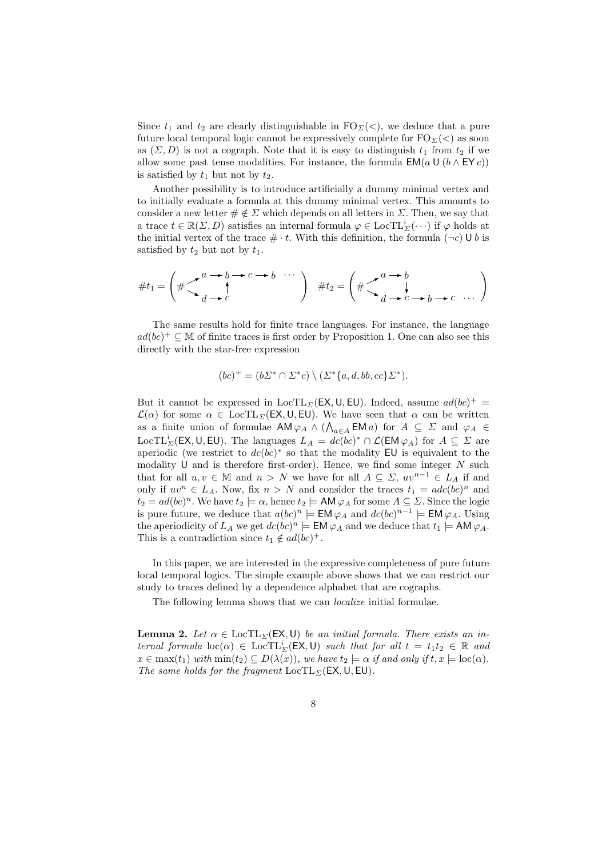Since  $t_1$  and  $t_2$  are clearly distinguishable in  $\mathrm{FO}_{\Sigma}(<)$ , we deduce that a pure future local temporal logic cannot be expressively complete for  $FO_\Sigma(\langle\rangle)$  as soon as  $(\Sigma, D)$  is not a cograph. Note that it is easy to distinguish  $t_1$  from  $t_2$  if we allow some past tense modalities. For instance, the formula  $EM(a U (b \wedge EY c))$ is satisfied by  $t_1$  but not by  $t_2$ .

Another possibility is to introduce artificially a dummy minimal vertex and to initially evaluate a formula at this dummy minimal vertex. This amounts to consider a new letter  $\#\notin \Sigma$  which depends on all letters in  $\Sigma$ . Then, we say that a trace  $t \in \mathbb{R}(\Sigma, D)$  satisfies an internal formula  $\varphi \in LocTL_{\Sigma}^{i}(\cdots)$  if  $\varphi$  holds at the initial vertex of the trace  $\#\cdot t$ . With this definition, the formula  $(\neg c) \cup b$  is satisfied by  $t_2$  but not by  $t_1$ .

$$
\#t_1 = \left(\#\begin{matrix} a & b & b & \cdots \\ + & \searrow & d & \cdots \\ & d & \rightarrow & c \end{matrix}\right) \quad \#t_2 = \left(\#\begin{matrix} a & b & b \\ + & \searrow & d & \cdots \\ & d & \rightarrow & c & \cdots \end{matrix}\right)
$$

The same results hold for finite trace languages. For instance, the language  $ad(bc)^{+} \subseteq \mathbb{M}$  of finite traces is first order by Proposition 1. One can also see this directly with the star-free expression

$$
(bc)^{+} = (b\Sigma^* \cap \Sigma^* c) \setminus (\Sigma^* \{a, d, bb, cc\} \Sigma^*).
$$

But it cannot be expressed in LocTL<sub>Σ</sub>(EX, U, EU). Indeed, assume  $ad(bc)^{+} =$  $\mathcal{L}(\alpha)$  for some  $\alpha \in \text{LocTL}_{\Sigma}(\text{EX}, \text{U}, \text{EU})$ . We have seen that  $\alpha$  can be written as a finite union of formulae  $AM \varphi_A \wedge (\bigwedge_{a \in A} \text{EM } a)$  for  $A \subseteq \Sigma$  and  $\varphi_A \in$ LocTL<sup>i</sup><sub>2</sub>(EX, U, EU). The languages  $L_A = dc(bc)^* \cap \mathcal{L}(\text{EM }\varphi_A)$  for  $A \subseteq \varSigma$  are aperiodic (we restrict to  $dc(bc)^*$  so that the modality EU is equivalent to the modality  $U$  and is therefore first-order). Hence, we find some integer  $N$  such that for all  $u, v \in \mathbb{M}$  and  $n > N$  we have for all  $A \subseteq \Sigma$ ,  $uv^{n-1} \in L_A$  if and only if  $uv^n \in L_A$ . Now, fix  $n > N$  and consider the traces  $t_1 = adc(bc)^n$  and  $t_2 = ad(bc)^n$ . We have  $t_2 \models \alpha$ , hence  $t_2 \models \mathsf{AM} \varphi_A$  for some  $A \subseteq \varSigma$ . Since the logic is pure future, we deduce that  $a(bc)^n \models \text{EM}\,\varphi_A$  and  $dc(bc)^{n-1} \models \text{EM}\,\varphi_A$ . Using the aperiodicity of  $L_A$  we get  $dc(bc)^n \models \text{EM} \varphi_A$  and we deduce that  $t_1 \models \text{AM} \varphi_A$ . This is a contradiction since  $t_1 \notin ad(bc)^+$ .

In this paper, we are interested in the expressive completeness of pure future local temporal logics. The simple example above shows that we can restrict our study to traces defined by a dependence alphabet that are cographs.

The following lemma shows that we can *localize* initial formulae.

**Lemma 2.** Let  $\alpha \in \text{LocTL}_{\Sigma}(\mathsf{EX}, \mathsf{U})$  be an initial formula. There exists an internal formula  $\text{loc}(\alpha) \in \text{LocTL}_{\Sigma}^i(\text{EX},\mathsf{U})$  such that for all  $t = t_1t_2 \in \mathbb{R}$  and  $x \in \max(t_1)$  with  $\min(t_2) \subseteq D(\lambda(x))$ , we have  $t_2 \models \alpha$  if and only if  $t, x \models \text{loc}(\alpha)$ . The same holds for the fragment  $LocTL_{\Sigma}$ (EX, U, EU).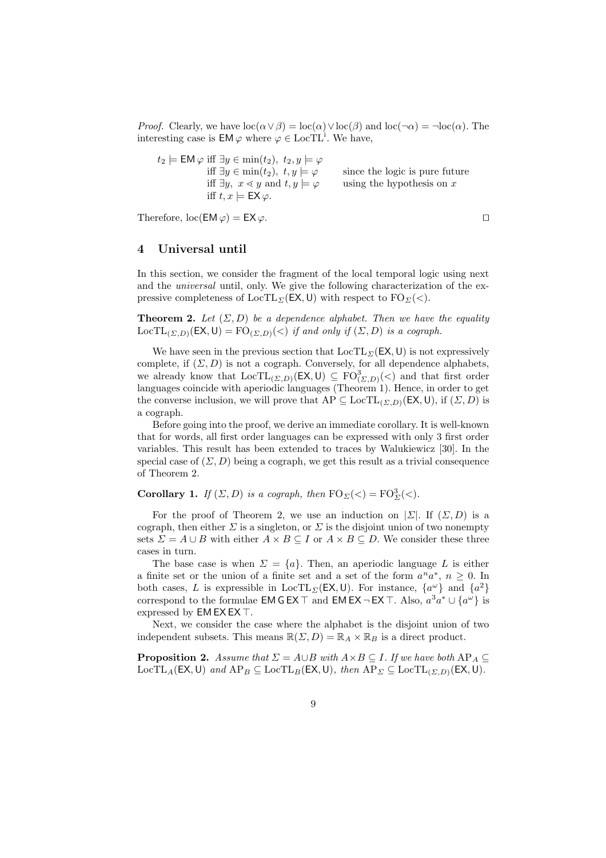*Proof.* Clearly, we have  $\text{loc}(\alpha \vee \beta) = \text{loc}(\alpha) \vee \text{loc}(\beta)$  and  $\text{loc}(\neg \alpha) = \neg \text{loc}(\alpha)$ . The interesting case is  $\text{EM}\varphi$  where  $\varphi \in \text{LocTL}^{\text{i}}$ . We have,

 $t_2 \models \textsf{EM} \varphi \text{ iff } \exists y \in \min(t_2), t_2, y \models \varphi$ iff  $\exists y \in \min(t_2)$ ,  $t, y \models \varphi$  since the logic is pure future<br>iff  $\exists y, x \leq y$  and  $t, y \models \varphi$  using the hypothesis on x iff ∃y,  $x \leq y$  and  $t, y \models \varphi$ iff  $t, x \models \mathsf{EX} \varphi$ .

Therefore,  $\text{loc}(\text{EM }\varphi) = \text{EX }\varphi.$ 

### 4 Universal until

In this section, we consider the fragment of the local temporal logic using next and the *universal* until, only. We give the following characterization of the expressive completeness of  $LocTL_{\Sigma}$ (EX, U) with respect to  $FO_{\Sigma}$ (<).

**Theorem 2.** Let  $(\Sigma, D)$  be a dependence alphabet. Then we have the equality  $LocTL_{(E,D)}(EX, U) = FO_{(E,D)}(\langle)$  if and only if  $(\Sigma, D)$  is a cograph.

We have seen in the previous section that LocTL $_{\Sigma}$ (EX, U) is not expressively complete, if  $(\Sigma, D)$  is not a cograph. Conversely, for all dependence alphabets, we already know that  $LocTL_{(\Sigma,D)}(EX, U) \subseteq FO_{(\Sigma,D)}^3(\lt)$  and that first order languages coincide with aperiodic languages (Theorem 1). Hence, in order to get the converse inclusion, we will prove that  $AP \subseteq LocTL_{(\Sigma,D)}(EX, U)$ , if  $(\Sigma, D)$  is a cograph.

Before going into the proof, we derive an immediate corollary. It is well-known that for words, all first order languages can be expressed with only 3 first order variables. This result has been extended to traces by Walukiewicz [30]. In the special case of  $(\Sigma, D)$  being a cograph, we get this result as a trivial consequence of Theorem 2.

**Corollary 1.** If  $(\Sigma, D)$  is a cograph, then  $\text{FO}_{\Sigma}(<) = \text{FO}_{\Sigma}^{3}(<)$ .

For the proof of Theorem 2, we use an induction on  $|\Sigma|$ . If  $(\Sigma, D)$  is a cograph, then either  $\Sigma$  is a singleton, or  $\Sigma$  is the disjoint union of two nonempty sets  $\Sigma = A \cup B$  with either  $A \times B \subseteq I$  or  $A \times B \subseteq D$ . We consider these three cases in turn.

The base case is when  $\Sigma = \{a\}$ . Then, an aperiodic language L is either a finite set or the union of a finite set and a set of the form  $a^n a^*$ ,  $n \geq 0$ . In both cases, L is expressible in LocTL<sub> $\Sigma$ </sub>(EX, U). For instance,  $\{a^{\omega}\}\$  and  $\{a^2\}$ correspond to the formulae EM GEX  $\top$  and EM EX  $\neg$  EX  $\top$ . Also,  $a^3a^* \cup \{a^\omega\}$  is expressed by  $EM$  EX EX  $T$ .

Next, we consider the case where the alphabet is the disjoint union of two independent subsets. This means  $\mathbb{R}(\Sigma, D) = \mathbb{R}_A \times \mathbb{R}_B$  is a direct product.

**Proposition 2.** Assume that  $\Sigma = A \cup B$  with  $A \times B \subseteq I$ . If we have both  $AP_A \subseteq I$ LocTL<sub>A</sub>(EX, U) and  $AP_B \subseteq LocTL_B(EX, U)$ , then  $AP_{\Sigma} \subseteq LocTL_{(\Sigma,D)}(EX, U)$ .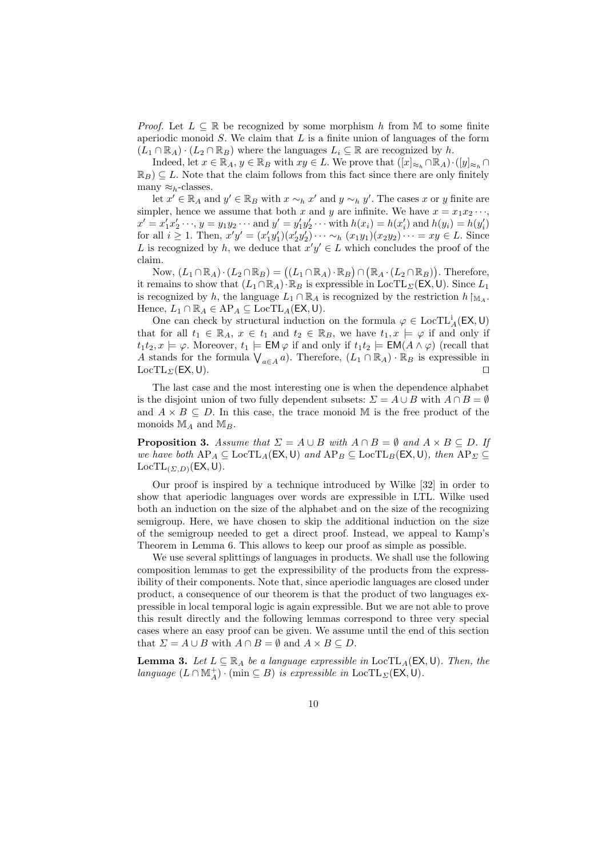*Proof.* Let  $L \subseteq \mathbb{R}$  be recognized by some morphism h from M to some finite aperiodic monoid  $S$ . We claim that  $L$  is a finite union of languages of the form  $(L_1 \cap \mathbb{R}_A) \cdot (L_2 \cap \mathbb{R}_B)$  where the languages  $L_i \subseteq \mathbb{R}$  are recognized by h.

Indeed, let  $x \in \mathbb{R}_A$ ,  $y \in \mathbb{R}_B$  with  $xy \in L$ . We prove that  $([x]_{\approx_h} \cap \mathbb{R}_A) \cdot ([y]_{\approx_h} \cap$  $\mathbb{R}_B$ )  $\subseteq$  L. Note that the claim follows from this fact since there are only finitely many  $\approx_h$ -classes.

let  $x' \in \mathbb{R}_A$  and  $y' \in \mathbb{R}_B$  with  $x \sim_h x'$  and  $y \sim_h y'$ . The cases x or y finite are simpler, hence we assume that both x and y are infinite. We have  $x = x_1 x_2 \cdots$ ,  $x' = x_1' x_2' \cdots, y = y_1 y_2 \cdots$  and  $y' = y_1' y_2' \cdots$  with  $h(x_i) = h(x_i')$  and  $h(y_i) = h(y_i')$ for all  $i \ge 1$ . Then,  $x'y' = (x'_1y'_1)(x'_2y'_2)\cdots \sim_h (x_1y_1)(x_2y_2)\cdots = xy \in L$ . Since L is recognized by h, we deduce that  $x'y' \in L$  which concludes the proof of the claim.

Now,  $(L_1 \cap \mathbb{R}_A) \cdot (L_2 \cap \mathbb{R}_B) = ((L_1 \cap \mathbb{R}_A) \cdot \mathbb{R}_B) \cap (\mathbb{R}_A \cdot (L_2 \cap \mathbb{R}_B))$ . Therefore, it remains to show that  $(L_1 \cap \mathbb{R}_A) \cdot \mathbb{R}_B$  is expressible in LocTL<sub> $\Sigma$ </sub>(EX, U). Since  $L_1$ is recognized by h, the language  $L_1 \cap \mathbb{R}_A$  is recognized by the restriction  $h \upharpoonright_{\mathbb{M}_A}$ . Hence,  $L_1 \cap \mathbb{R}_A \in AP_A \subseteq \text{LocTL}_A(\textsf{EX}, \textsf{U}).$ 

One can check by structural induction on the formula  $\varphi \in \mathsf{LocTL}_A^i(\mathsf{EX}, \mathsf{U})$ that for all  $t_1 \in \mathbb{R}_A$ ,  $x \in t_1$  and  $t_2 \in \mathbb{R}_B$ , we have  $t_1, x \models \varphi$  if and only if  $t_1t_2, x \models \varphi$ . Moreover,  $t_1 \models \mathsf{EM}\varphi$  if and only if  $t_1t_2 \models \mathsf{EM}(A \land \varphi)$  (recall that A stands for the formula  $\bigvee_{a \in A} a$ . Therefore,  $(L_1 \cap \mathbb{R}_A) \cdot \mathbb{R}_B$  is expressible in  $\mathrm{LocTL}_{\Sigma}(\mathsf{EX},\mathsf{U}).$ 

The last case and the most interesting one is when the dependence alphabet is the disjoint union of two fully dependent subsets:  $\Sigma = A \cup B$  with  $A \cap B = \emptyset$ and  $A \times B \subseteq D$ . In this case, the trace monoid M is the free product of the monoids  $\mathbb{M}_A$  and  $\mathbb{M}_B$ .

**Proposition 3.** Assume that  $\Sigma = A \cup B$  with  $A \cap B = \emptyset$  and  $A \times B \subseteq D$ . If we have both  $AP_A \subseteq LocTL_A(EX, U)$  and  $AP_B \subseteq LocTL_B(EX, U)$ , then  $AP_{\Sigma} \subseteq$  $LocTL_{(\Sigma,D)}(EX,U).$ 

Our proof is inspired by a technique introduced by Wilke [32] in order to show that aperiodic languages over words are expressible in LTL. Wilke used both an induction on the size of the alphabet and on the size of the recognizing semigroup. Here, we have chosen to skip the additional induction on the size of the semigroup needed to get a direct proof. Instead, we appeal to Kamp's Theorem in Lemma 6. This allows to keep our proof as simple as possible.

We use several splittings of languages in products. We shall use the following composition lemmas to get the expressibility of the products from the expressibility of their components. Note that, since aperiodic languages are closed under product, a consequence of our theorem is that the product of two languages expressible in local temporal logic is again expressible. But we are not able to prove this result directly and the following lemmas correspond to three very special cases where an easy proof can be given. We assume until the end of this section that  $\Sigma = A \cup B$  with  $A \cap B = \emptyset$  and  $A \times B \subseteq D$ .

**Lemma 3.** Let  $L \subseteq \mathbb{R}_A$  be a language expressible in  $LocTL_A(EX, U)$ . Then, the language  $(L \cap \mathbb{M}_A^+) \cdot (\min \subseteq B)$  is expressible in  $LocTL_{\Sigma}(\mathsf{EX},\mathsf{U}).$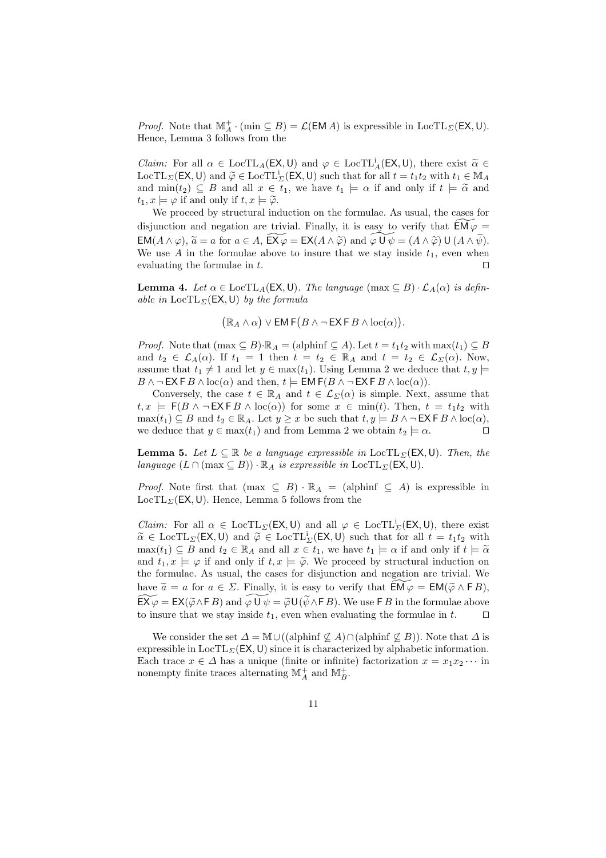*Proof.* Note that  $\mathbb{M}_{A}^{+} \cdot (\min \subseteq B) = \mathcal{L}(\text{EM } A)$  is expressible in LocTL<sub> $\Sigma$ </sub>(EX, U). Hence, Lemma 3 follows from the

Claim: For all  $\alpha \in \text{LocTL}_A(\text{EX}, \text{U})$  and  $\varphi \in \text{LocTL}_A^i(\text{EX}, \text{U})$ , there exist  $\widetilde{\alpha} \in$ <br>Let  $\mathbb{C}^{\text{EX}}$  then  $\alpha \in \mathbb{C}^{\text{EX}}$  and the function of the site of  $\alpha \in \mathbb{C}^{\text{M}}$ LocTL<sub>Σ</sub>(EX, U) and  $\widetilde{\varphi} \in \text{LocTL}_{\Sigma}^{i}(\mathsf{EX},\mathsf{U})$  such that for all  $t = t_1t_2$  with  $t_1 \in \mathbb{M}_A$ and min(t<sub>2</sub>)  $\subseteq$  B and all  $x \in t_1$ , we have  $t_1 \models \alpha$  if and only if  $t \models \tilde{\alpha}$  and  $t_1, x \models \varphi$  if and only if  $t, x \models \widetilde{\varphi}$ .

We proceed by structural induction on the formulae. As usual, the cases for disjunction and negation are trivial. Finally, it is easy to verify that  $EM\varphi =$  $\mathsf{EM}(A \wedge \varphi), \tilde{a} = a \text{ for } a \in A, \widetilde{\mathsf{EX} \varphi} = \mathsf{EX}(A \wedge \widetilde{\varphi}) \text{ and } \widetilde{\varphi \cup \psi} = (A \wedge \widetilde{\varphi}) \cup (A \wedge \widetilde{\psi}).$ We use A in the formulae above to insure that we stay inside  $t_1$ , even when evaluating the formulae in  $t$ .

**Lemma 4.** Let  $\alpha \in \text{LocTL}_A(\text{EX}, \mathsf{U})$ . The language  $(\max \subseteq B) \cdot \mathcal{L}_A(\alpha)$  is definable in  $LocTL_{\Sigma}$ (EX, U) by the formula

$$
(\mathbb{R}_A \wedge \alpha) \vee \mathsf{EMF}(B \wedge \neg \mathsf{EXF} B \wedge \mathrm{loc}(\alpha)).
$$

*Proof.* Note that  $(\max \subseteq B) \cdot \mathbb{R}_A = (\text{alpha } f \subseteq A)$ . Let  $t = t_1t_2$  with  $\max(t_1) \subseteq B$ and  $t_2 \in \mathcal{L}_A(\alpha)$ . If  $t_1 = 1$  then  $t = t_2 \in \mathbb{R}_A$  and  $t = t_2 \in \mathcal{L}_\Sigma(\alpha)$ . Now, assume that  $t_1 \neq 1$  and let  $y \in max(t_1)$ . Using Lemma 2 we deduce that  $t, y \models$  $B \wedge \neg$  EX F  $B \wedge \text{loc}(\alpha)$  and then,  $t \models \text{EMF}(B \wedge \neg \text{EXF } B \wedge \text{loc}(\alpha)).$ 

Conversely, the case  $t \in \mathbb{R}_A$  and  $t \in \mathcal{L}_{\Sigma}(\alpha)$  is simple. Next, assume that  $t, x \models F(B \land \neg EXFB \land \text{loc}(\alpha))$  for some  $x \in \text{min}(t)$ . Then,  $t = t_1t_2$  with  $\max(t_1) \subseteq B$  and  $t_2 \in \mathbb{R}_A$ . Let  $y \geq x$  be such that  $t, y \models B \land \neg$  **EXF**  $B \land \text{loc}(\alpha)$ , we deduce that  $y \in \max(t_1)$  and from Lemma 2 we obtain  $t_2 \models \alpha$ .

**Lemma 5.** Let  $L \subseteq \mathbb{R}$  be a language expressible in LocTL<sub> $\Sigma$ </sub>(EX, U). Then, the language  $(L \cap (\max \subseteq B)) \cdot \mathbb{R}_A$  is expressible in  $LocTL_{\Sigma}(\mathsf{EX}, \mathsf{U}).$ 

*Proof.* Note first that  $(\max \subseteq B) \cdot \mathbb{R}_A = (\text{alpha } \subseteq A)$  is expressible in LocTL $_{\Sigma}$ (EX, U). Hence, Lemma 5 follows from the

*Claim:* For all  $\alpha \in \text{LocTL}_{\Sigma}(\text{EX}, \text{U})$  and all  $\varphi \in \text{LocTL}_{\Sigma}^i(\text{EX}, \text{U})$ , there exist  $\widetilde{\alpha} \in \text{LocTL}_{\Sigma}(\text{EX},\text{U})$  and  $\widetilde{\varphi} \in \text{LocTL}_{\Sigma}^{1}(\text{EX},\text{U})$  such that for all  $t = t_1t_2$  with  $\max(t_1) \subseteq B$  and  $t_2 \in \mathbb{R}_A$  and all  $x \in t_1$ , we have  $t_1 \models \alpha$  if and only if  $t \models \widetilde{\alpha}$ and  $t_1, x \models \varphi$  if and only if  $t, x \models \tilde{\varphi}$ . We proceed by structural induction on the formulae. As usual, the cases for disjunction and negation are trivial. We have  $\tilde{a} = a$  for  $a \in \Sigma$ . Finally, it is easy to verify that  $\tilde{\mathsf{EM}}\varphi = \mathsf{EM}(\tilde{\varphi} \wedge \mathsf{F}B)$ ,  $\widetilde{\mathsf{EX}} \varphi = \mathsf{EX}(\widetilde{\varphi} \wedge \mathsf{F} B)$  and  $\varphi \cup \psi = \widetilde{\varphi} \cup (\widetilde{\psi} \wedge \mathsf{F} B)$ . We use  $\mathsf{F} B$  in the formulae above to insure that we stay inside  $t_1$ , even when evaluating the formulae in  $t$ . to insure that we stay inside  $t_1$ , even when evaluating the formulae in  $t$ .

We consider the set  $\Delta = \mathbb{M} \cup ((\text{alphinf } \nsubseteq A) \cap (\text{alphinf } \nsubseteq B))$ . Note that  $\Delta$  is expressible in  $LocTL<sub>\Sigma</sub>(EX, U)$  since it is characterized by alphabetic information. Each trace  $x \in \Delta$  has a unique (finite or infinite) factorization  $x = x_1 x_2 \cdots$  in nonempty finite traces alternating  $\mathbb{M}_{A}^{+}$  and  $\mathbb{M}_{B}^{+}$ .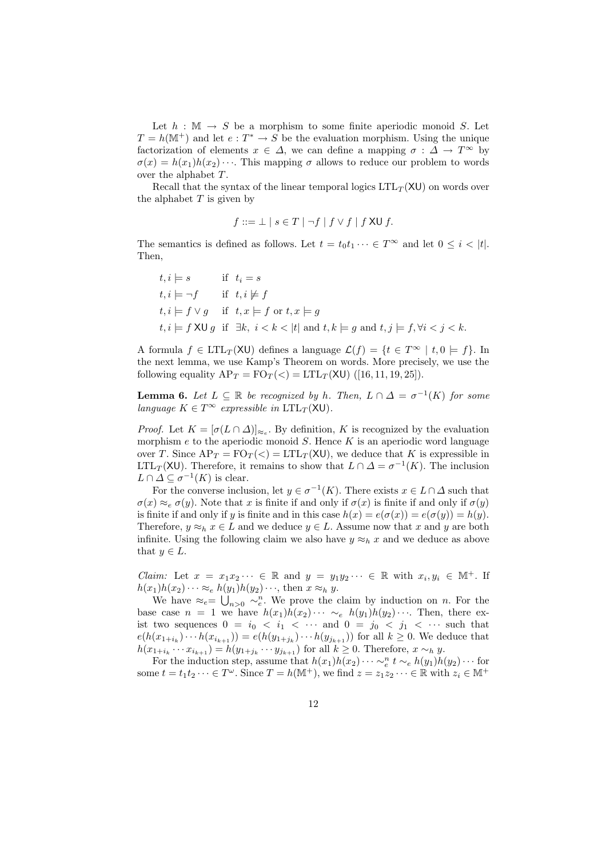Let  $h : \mathbb{M} \to S$  be a morphism to some finite aperiodic monoid S. Let  $T = h(\mathbb{M}^+)$  and let  $e: T^* \to S$  be the evaluation morphism. Using the unique factorization of elements  $x \in \Delta$ , we can define a mapping  $\sigma : \Delta \to T^\infty$  by  $\sigma(x) = h(x_1)h(x_2)\cdots$ . This mapping  $\sigma$  allows to reduce our problem to words over the alphabet T.

Recall that the syntax of the linear temporal logics  $LTL_T(XU)$  on words over the alphabet  $T$  is given by

$$
f ::= \bot \mid s \in T \mid \neg f \mid f \lor f \mid f \times U \, f.
$$

The semantics is defined as follows. Let  $t = t_0 t_1 \cdots \in T^{\infty}$  and let  $0 \leq i < |t|$ . Then,

$$
\begin{aligned} &t,i \models s && \text{if}~~t_i=s \\ &t,i \models \neg f && \text{if}~~t,i \not \models f \\ &t,i \models f \lor g && \text{if}~~t,x \models f \text{ or } t,x \models g \\ &t,i \models f \text{ XU} \ g && \text{if}~~\exists k,~i < k < |t| \text{ and } t,k \models g \text{ and } t,j \models f, \forall i < j < k. \end{aligned}
$$

A formula  $f \in \text{LTL}_T(\mathsf{XU})$  defines a language  $\mathcal{L}(f) = \{t \in T^\infty \mid t, 0 \models f\}.$  In the next lemma, we use Kamp's Theorem on words. More precisely, we use the following equality  $AP_T = FO_T(\langle) = LTL_T(XU)$  ([16, 11, 19, 25]).

**Lemma 6.** Let  $L \subseteq \mathbb{R}$  be recognized by h. Then,  $L \cap \Delta = \sigma^{-1}(K)$  for some language  $K \in T^{\infty}$  expressible in  $LTL_T(\mathsf{XU})$ .

*Proof.* Let  $K = [\sigma(L \cap \Delta)]_{\approx_e}$ . By definition, K is recognized by the evaluation morphism  $e$  to the aperiodic monoid  $S$ . Hence  $K$  is an aperiodic word language over T. Since  $AP_T = FO_T(\langle) = LTL_T(XU)$ , we deduce that K is expressible in LTL<sub>T</sub>(XU). Therefore, it remains to show that  $L \cap \Delta = \sigma^{-1}(K)$ . The inclusion  $L \cap \Delta \subseteq \sigma^{-1}(K)$  is clear.

For the converse inclusion, let  $y \in \sigma^{-1}(K)$ . There exists  $x \in L \cap \Delta$  such that  $\sigma(x) \approx_e \sigma(y)$ . Note that x is finite if and only if  $\sigma(x)$  is finite if and only if  $\sigma(y)$ is finite if and only if y is finite and in this case  $h(x) = e(\sigma(x)) = e(\sigma(y)) = h(y)$ . Therefore,  $y \approx_h x \in L$  and we deduce  $y \in L$ . Assume now that x and y are both infinite. Using the following claim we also have  $y \approx_h x$  and we deduce as above that  $y \in L$ .

*Claim:* Let  $x = x_1x_2 \cdots \in \mathbb{R}$  and  $y = y_1y_2 \cdots \in \mathbb{R}$  with  $x_i, y_i \in \mathbb{M}^+$ . If  $h(x_1)h(x_2)\cdots \approx_e h(y_1)h(y_2)\cdots$ , then  $x \approx_h y$ .

We have  $\approx_e=$   $\bigcup_{n>0} \sim_e^n$ . We prove the claim by induction on n. For the base case  $n = 1$  we have  $h(x_1)h(x_2)\cdots \sim_e h(y_1)h(y_2)\cdots$ . Then, there exist two sequences  $0 = i_0 < i_1 < \cdots$  and  $0 = j_0 < j_1 < \cdots$  such that  $e(h(x_{1+i_k})\cdots h(x_{i_{k+1}})) = e(h(y_{1+j_k})\cdots h(y_{j_{k+1}}))$  for all  $k \geq 0$ . We deduce that  $h(x_{1+i_k}\cdots x_{i_{k+1}})=h(y_{1+j_k}\cdots y_{j_{k+1}})$  for all  $k\geq 0$ . Therefore,  $x\sim_h y$ .

For the induction step, assume that  $h(x_1)h(x_2)\cdots \sim_e^n t \sim_e h(y_1)h(y_2)\cdots$  for some  $t = t_1 t_2 \cdots \in T^{\omega}$ . Since  $T = h(\mathbb{M}^+)$ , we find  $z = z_1 z_2 \cdots \in \mathbb{R}$  with  $z_i \in \mathbb{M}^+$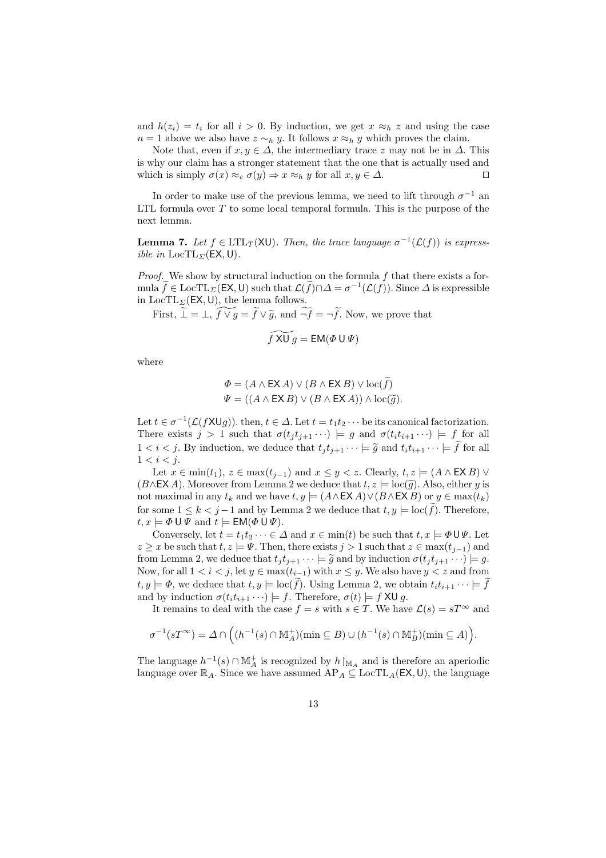and  $h(z_i) = t_i$  for all  $i > 0$ . By induction, we get  $x \approx_h z$  and using the case  $n = 1$  above we also have  $z \sim_h y$ . It follows  $x \approx_h y$  which proves the claim.

Note that, even if  $x, y \in \Delta$ , the intermediary trace z may not be in  $\Delta$ . This is why our claim has a stronger statement that the one that is actually used and which is simply  $\sigma(x) \approx_e \sigma(y) \Rightarrow x \approx_h y$  for all  $x, y \in \Delta$ .

In order to make use of the previous lemma, we need to lift through  $\sigma^{-1}$  and LTL formula over  $T$  to some local temporal formula. This is the purpose of the next lemma.

**Lemma 7.** Let  $f \in \text{LTL}_T(\mathsf{XU})$ . Then, the trace language  $\sigma^{-1}(\mathcal{L}(f))$  is express*ible in* LocTL<sub> $\Sigma$ </sub>(EX, U).

*Proof.* We show by structural induction on the formula  $f$  that there exists a formula  $\widetilde{f} \in \text{LocTL}_{\Sigma}(\mathsf{EX},\mathsf{U})$  such that  $\mathcal{L}(\widetilde{f}) \cap \Delta = \sigma^{-1}(\mathcal{L}(f))$ . Since  $\Delta$  is expressible in  $LocTL_{\Sigma}$ (EX, U), the lemma follows.

First,  $\widetilde{\perp} = \perp$ ,  $\widetilde{f \vee g} = \widetilde{f} \vee \widetilde{g}$ , and  $\widetilde{\neg f} = \neg \widetilde{f}$ . Now, we prove that

$$
\widetilde{f \times U} g = \mathsf{EM}(\Phi \cup \Psi)
$$

where

$$
\Phi = (A \wedge \mathsf{EX} A) \vee (B \wedge \mathsf{EX} B) \vee \mathsf{loc}(\widetilde{f})
$$

$$
\Psi = ((A \wedge \mathsf{EX} B) \vee (B \wedge \mathsf{EX} A)) \wedge \mathsf{loc}(\widetilde{g}).
$$

Let  $t \in \sigma^{-1}(\mathcal{L}(f \times \mathsf{U} g))$ . then,  $t \in \Delta$ . Let  $t = t_1 t_2 \cdots$  be its canonical factorization. There exists  $j > 1$  such that  $\sigma(t_j t_{j+1} \cdots) \models g$  and  $\sigma(t_i t_{i+1} \cdots) \models f$  for all  $1 < i < j$ . By induction, we deduce that  $t_i t_{i+1} \cdots \models \widetilde{g}$  and  $t_i t_{i+1} \cdots \models \widetilde{f}$  for all  $1 < i < j$ .

Let  $x \in \min(t_1)$ ,  $z \in \max(t_{i-1})$  and  $x \leq y < z$ . Clearly,  $t, z \models (A \land \textsf{EX } B) \lor \textsf{EX } B$  $(B \wedge$ **EX** A). Moreover from Lemma 2 we deduce that  $t, z \models \text{loc}(\widetilde{g})$ . Also, either y is not maximal in any  $t_k$  and we have  $t, y \models (A \wedge \mathsf{EX} A) \vee (B \wedge \mathsf{EX} B)$  or  $y \in \max(t_k)$ for some  $1 \leq k < j-1$  and by Lemma 2 we deduce that  $t, y \models \text{loc}(\widetilde{f})$ . Therefore,  $t, x \models \Phi \cup \Psi$  and  $t \models \mathsf{EM}(\Phi \cup \Psi)$ .

Conversely, let  $t = t_1t_2 \cdots \in \Delta$  and  $x \in \min(t)$  be such that  $t, x \models \Phi \cup \Psi$ . Let  $z \geq x$  be such that  $t, z \models \Psi$ . Then, there exists  $j > 1$  such that  $z \in \max(t_{j-1})$  and from Lemma 2, we deduce that  $t_j t_{j+1} \cdots \models \tilde{g}$  and by induction  $\sigma(t_j t_{j+1} \cdots) \models g$ . Now, for all  $1 < i < j$ , let  $y \in max(t_{i-1})$  with  $x \leq y$ . We also have  $y < z$  and from  $t, y \models \Phi$ , we deduce that  $t, y \models \text{loc}(f)$ . Using Lemma 2, we obtain  $t_i t_{i+1} \cdots \models f$ and by induction  $\sigma(t_i t_{i+1} \cdots) \models f$ . Therefore,  $\sigma(t) \models f \times U g$ .

It remains to deal with the case  $f = s$  with  $s \in T$ . We have  $\mathcal{L}(s) = sT^{\infty}$  and

$$
\sigma^{-1}(sT^\infty)=\varDelta\cap\Big((h^{-1}(s)\cap{\mathbb M}^+_A)(\min\subseteq B)\cup(h^{-1}(s)\cap{\mathbb M}^+_B)(\min\subseteq A)\Big).
$$

The language  $h^{-1}(s) \cap M_A^+$  is recognized by  $h \upharpoonright_{M_A}$  and is therefore an aperiodic language over  $\mathbb{R}_A$ . Since we have assumed  $AP_A \subseteq LocTL_A(\mathsf{EX}, \mathsf{U})$ , the language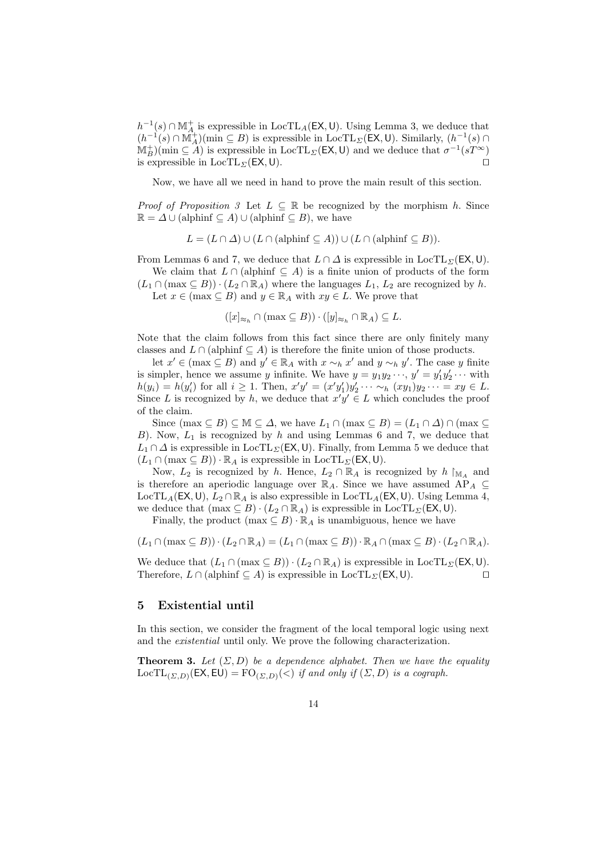$h^{-1}(s) \cap M_{A}^+$  is expressible in LocTL<sub>A</sub>(EX, U). Using Lemma 3, we deduce that  $(h^{-1}(s) \cap \mathbb{M}_A^+)(\min \subseteq B)$  is expressible in LocTL<sub> $\Sigma$ </sub>(EX, U). Similarly,  $(h^{-1}(s) \cap$  $M_B^+$ )(min  $\subseteq A$ ) is expressible in LocTL<sub> $\Sigma$ </sub>(EX, U) and we deduce that  $\sigma^{-1}(sT^{\infty})$ is expressible in LocTL<sub> $\Sigma$ </sub>(EX, U).

Now, we have all we need in hand to prove the main result of this section.

*Proof of Proposition 3* Let  $L \subseteq \mathbb{R}$  be recognized by the morphism h. Since  $\mathbb{R} = \Delta \cup (\text{alphinf} \subseteq A) \cup (\text{alphinf} \subseteq B)$ , we have

$$
L = (L \cap \Delta) \cup (L \cap (\text{alphinf} \subseteq A)) \cup (L \cap (\text{alphinf} \subseteq B)).
$$

From Lemmas 6 and 7, we deduce that  $L \cap \Delta$  is expressible in LocTL<sub> $\Sigma$ </sub>(EX, U). We claim that  $L \cap (\text{alphinf} \subseteq A)$  is a finite union of products of the form

 $(L_1 \cap (\max \subseteq B)) \cdot (L_2 \cap \mathbb{R}_A)$  where the languages  $L_1$ ,  $L_2$  are recognized by h. Let  $x \in (\max \subseteq B)$  and  $y \in \mathbb{R}_A$  with  $xy \in L$ . We prove that

 $([x]_{\approx_h} \cap (\max \subseteq B)) \cdot ([y]_{\approx_h} \cap \mathbb{R}_A) \subseteq L.$ 

Note that the claim follows from this fact since there are only finitely many classes and  $L \cap ( \text{alphinf} \subseteq A )$  is therefore the finite union of those products.

let  $x' \in (\max \subseteq B)$  and  $y' \in \mathbb{R}_A$  with  $x \sim_h x'$  and  $y \sim_h y'$ . The case y finite is simpler, hence we assume y infinite. We have  $y = y_1y_2 \cdots$ ,  $y' = y'_1y'_2 \cdots$  with  $h(y_i) = h(y'_i)$  for all  $i \ge 1$ . Then,  $x'y' = (x'y'_1)y'_2 \cdots \sim_h (xy_1)y_2 \cdots = xy \in L$ . Since L is recognized by h, we deduce that  $x'y' \in L$  which concludes the proof of the claim.

Since  $(\max \subseteq B) \subseteq \mathbb{M} \subseteq \Delta$ , we have  $L_1 \cap (\max \subseteq B) = (L_1 \cap \Delta) \cap (\max \subseteq B)$ B). Now,  $L_1$  is recognized by h and using Lemmas 6 and 7, we deduce that  $L_1 \cap \Delta$  is expressible in LocTL<sub> $\Sigma$ </sub>(EX, U). Finally, from Lemma 5 we deduce that  $(L_1 \cap (\max \subseteq B)) \cdot \mathbb{R}_A$  is expressible in LocTL<sub> $\Sigma$ </sub>(EX, U).

Now,  $L_2$  is recognized by h. Hence,  $L_2 \cap \mathbb{R}_A$  is recognized by  $h \upharpoonright_{\mathbb{M}_A}$  and is therefore an aperiodic language over  $\mathbb{R}_A$ . Since we have assumed AP<sub>A</sub> ⊆ LocTL<sub>A</sub>(EX, U),  $L_2 \cap \mathbb{R}_A$  is also expressible in LocTL<sub>A</sub>(EX, U). Using Lemma 4, we deduce that  $(\max \subseteq B) \cdot (L_2 \cap \mathbb{R}_A)$  is expressible in LocTL<sub> $\Sigma$ </sub>(EX, U).

Finally, the product  $(\max \subseteq B) \cdot \mathbb{R}_A$  is unambiguous, hence we have

$$
(L_1 \cap (\max \subseteq B)) \cdot (L_2 \cap \mathbb{R}_A) = (L_1 \cap (\max \subseteq B)) \cdot \mathbb{R}_A \cap (\max \subseteq B) \cdot (L_2 \cap \mathbb{R}_A).
$$

We deduce that  $(L_1 \cap (\max \subseteq B)) \cdot (L_2 \cap \mathbb{R}_A)$  is expressible in LocTL<sub> $\Sigma$ </sub>(EX, U). Therefore,  $L \cap (\text{alphinf} \subseteq A)$  is expressible in  $\text{LocTL}_{\Sigma}(\text{EX},\text{U})$ .

#### 5 Existential until

In this section, we consider the fragment of the local temporal logic using next and the existential until only. We prove the following characterization.

**Theorem 3.** Let  $(\Sigma, D)$  be a dependence alphabet. Then we have the equality  $LocTL_{(\Sigma,D)}(EX, EU) = FO_{(\Sigma,D)}(\langle)$  if and only if  $(\Sigma, D)$  is a cograph.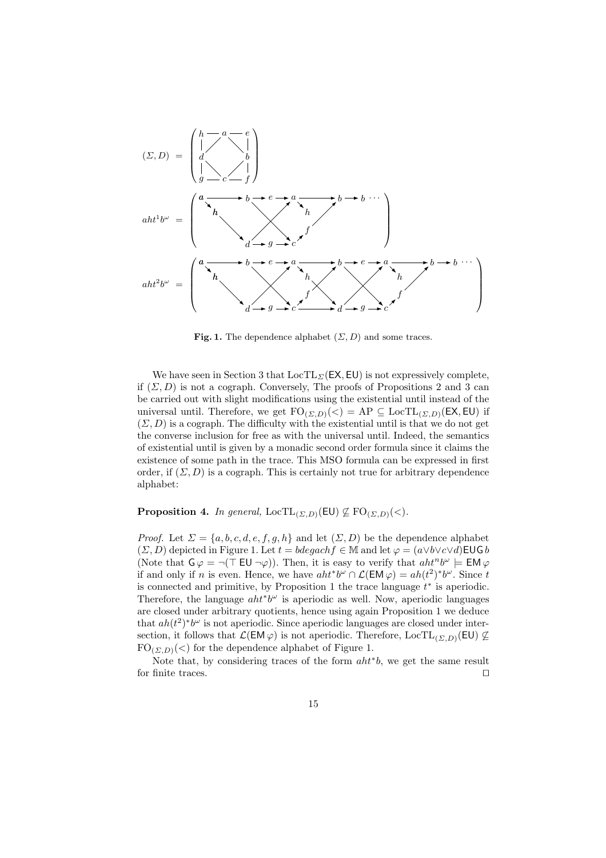

Fig. 1. The dependence alphabet  $(\Sigma, D)$  and some traces.

We have seen in Section 3 that  $LocTL_{\Sigma}$ (EX, EU) is not expressively complete, if  $(\Sigma, D)$  is not a cograph. Conversely, The proofs of Propositions 2 and 3 can be carried out with slight modifications using the existential until instead of the universal until. Therefore, we get  $\mathrm{FO}_{(\Sigma,D)}(<) = \mathrm{AP} \subseteq \mathrm{LocTL}_{(\Sigma,D)}(\mathsf{EX}, \mathsf{EU})$  if  $(\Sigma, D)$  is a cograph. The difficulty with the existential until is that we do not get the converse inclusion for free as with the universal until. Indeed, the semantics of existential until is given by a monadic second order formula since it claims the existence of some path in the trace. This MSO formula can be expressed in first order, if  $(\Sigma, D)$  is a cograph. This is certainly not true for arbitrary dependence alphabet:

#### **Proposition 4.** In general, LocTL<sub>(Σ,D)</sub>(EU)  $\nsubseteq$  FO<sub>(Σ,D)</sub>(<).

*Proof.* Let  $\Sigma = \{a, b, c, d, e, f, g, h\}$  and let  $(\Sigma, D)$  be the dependence alphabet  $(\Sigma, D)$  depicted in Figure 1. Let  $t = bdegach f \in M$  and let  $\varphi = (a \vee b \vee c \vee d)$  EUG b (Note that  $\mathsf{G}\varphi = \neg(\top \mathsf{EU} \neg \varphi)$ ). Then, it is easy to verify that  $aht^n b^\omega \models \mathsf{EM}\varphi$ if and only if n is even. Hence, we have  $aht^*b^{\omega} \cap \mathcal{L}(\text{EM }\varphi) = ah(t^2)^*b^{\omega}$ . Since t is connected and primitive, by Proposition 1 the trace language  $t^*$  is aperiodic. Therefore, the language  $aht^*b^{\omega}$  is aperiodic as well. Now, aperiodic languages are closed under arbitrary quotients, hence using again Proposition 1 we deduce that  $ah(t^2)^*b^{\omega}$  is not aperiodic. Since aperiodic languages are closed under intersection, it follows that  $\mathcal{L}(\mathsf{EM}\,\varphi)$  is not aperiodic. Therefore, LocTL<sub>(Σ,D)</sub>(EU)  $\nsubseteq$  $FO_{(\Sigma,D)}(<)$  for the dependence alphabet of Figure 1.

Note that, by considering traces of the form  $aht^*b$ , we get the same result for finite traces.  $\Box$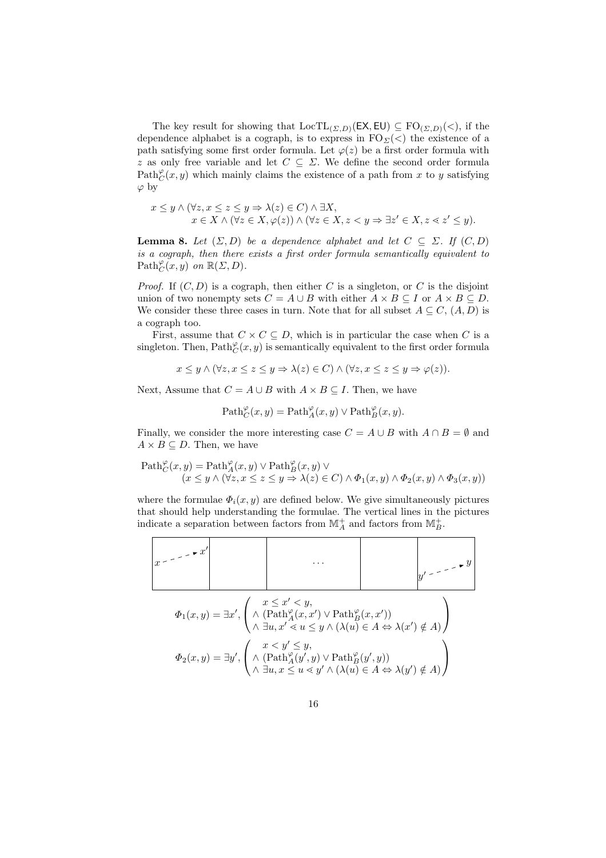The key result for showing that  $LocTL_{(\Sigma,D)}(EX, EU) \subseteq FO_{(\Sigma,D)}(\langle),$  if the dependence alphabet is a cograph, is to express in  $FO_\Sigma(\langle)$  the existence of a path satisfying some first order formula. Let  $\varphi(z)$  be a first order formula with z as only free variable and let  $C \subseteq \Sigma$ . We define the second order formula  $\text{Path}_{\mathcal{C}}^{\varphi}(x, y)$  which mainly claims the existence of a path from x to y satisfying  $\varphi$  by

$$
x \le y \land (\forall z, x \le z \le y \Rightarrow \lambda(z) \in C) \land \exists X,
$$
  
\n
$$
x \in X \land (\forall z \in X, \varphi(z)) \land (\forall z \in X, z < y \Rightarrow \exists z' \in X, z < z' \le y).
$$

**Lemma 8.** Let  $(\Sigma, D)$  be a dependence alphabet and let  $C \subseteq \Sigma$ . If  $(C, D)$ is a cograph, then there exists a first order formula semantically equivalent to Path $_{C}^{\varphi}(x,y)$  on  $\mathbb{R}(\Sigma,D)$ .

*Proof.* If  $(C, D)$  is a cograph, then either C is a singleton, or C is the disjoint union of two nonempty sets  $C = A \cup B$  with either  $A \times B \subseteq I$  or  $A \times B \subseteq D$ . We consider these three cases in turn. Note that for all subset  $A \subseteq C$ ,  $(A, D)$  is a cograph too.

First, assume that  $C \times C \subseteq D$ , which is in particular the case when C is a singleton. Then,  $\text{Path}_{\mathcal{C}}^{\varphi}(x, y)$  is semantically equivalent to the first order formula

$$
x \le y \land (\forall z, x \le z \le y \Rightarrow \lambda(z) \in C) \land (\forall z, x \le z \le y \Rightarrow \varphi(z)).
$$

Next, Assume that  $C = A \cup B$  with  $A \times B \subseteq I$ . Then, we have

$$
\text{Path}_{C}^{\varphi}(x,y)=\text{Path}_{A}^{\varphi}(x,y)\vee\text{Path}_{B}^{\varphi}(x,y).
$$

Finally, we consider the more interesting case  $C = A \cup B$  with  $A \cap B = \emptyset$  and  $A \times B \subseteq D$ . Then, we have

$$
\begin{aligned} \operatorname{Path}_{C}^{\varphi}(x,y) &= \operatorname{Path}_{A}^{\varphi}(x,y) \lor \operatorname{Path}_{B}^{\varphi}(x,y) \lor \\ (x \leq y \land (\forall z,x \leq z \leq y \Rightarrow \lambda(z) \in C) \land \Phi_{1}(x,y) \land \Phi_{2}(x,y) \land \Phi_{3}(x,y)) \end{aligned}
$$

where the formulae  $\Phi_i(x, y)$  are defined below. We give simultaneously pictures that should help understanding the formulae. The vertical lines in the pictures indicate a separation between factors from  $\mathbb{M}_A^+$  and factors from  $\mathbb{M}_B^+$ .

| $\overline{z}$ = $\overline{z}$ = $\overline{x}'$ =                                                                                                                                                                                                                                         |  |                                                                                                                                                                                                                                                                                                                             |  |  |
|---------------------------------------------------------------------------------------------------------------------------------------------------------------------------------------------------------------------------------------------------------------------------------------------|--|-----------------------------------------------------------------------------------------------------------------------------------------------------------------------------------------------------------------------------------------------------------------------------------------------------------------------------|--|--|
| $\varPhi_1(x,y) = \exists x', \left( \begin{matrix} x \leq x' < y,\\ \wedge \; [\operatorname{Path}_A^{\varphi}(x,x') \vee \operatorname{Path}_B^{\varphi}(x,x'))\\ \wedge \; \exists u, x' < u \leq y \wedge (\lambda(u) \in A \Leftrightarrow \lambda(x') \notin A) \end{matrix} \right)$ |  |                                                                                                                                                                                                                                                                                                                             |  |  |
|                                                                                                                                                                                                                                                                                             |  | $\varPhi_2(x,y)=\exists y', \left( \begin{matrix} x < y' \leq y,\\ \wedge \; \left( \operatorname{Path}_A^{\varphi}(y',y) \vee \operatorname{Path}_B^{\varphi}(y',y) \right) \\ \wedge \; \exists u, x \leq u \lessdot y' \wedge \left( \lambda(u) \in A \Leftrightarrow \lambda(y') \notin A \right) \end{matrix} \right)$ |  |  |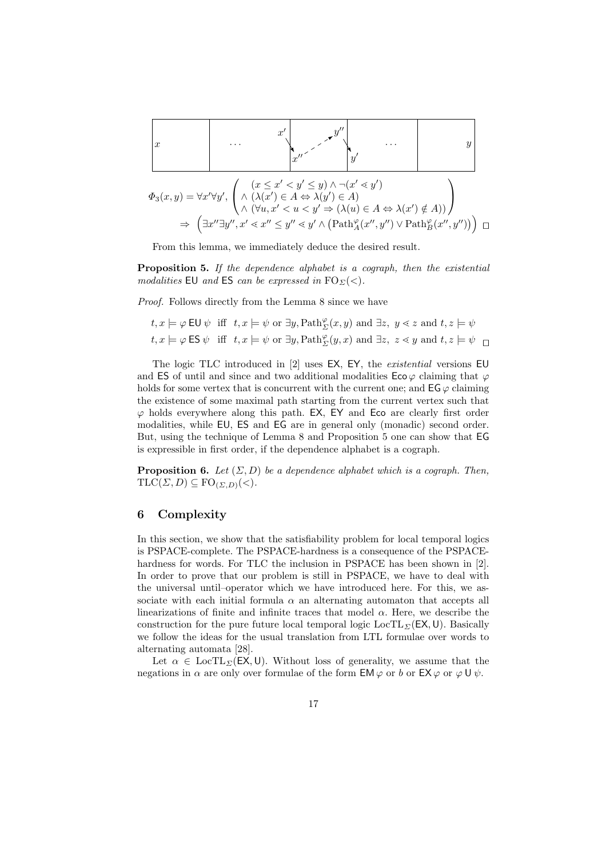$$
x' \qquad \dots \qquad y'' \qquad \dots \qquad y
$$
\n
$$
\Phi_3(x, y) = \forall x' \forall y', \left( \begin{array}{c} (x \leq x' < y' \leq y) \land \neg(x' < y') \\ \land (\lambda(x') \in A \Leftrightarrow \lambda(y') \in A) \\ \land (\forall u, x' < u < y' \Rightarrow (\lambda(u) \in A \Leftrightarrow \lambda(x') \notin A)) \end{array} \right)
$$
\n
$$
\Rightarrow \left( \exists x'' \exists y'', x' < x'' \leq y'' \leq y' \land (\text{Path}_{A}^{\varphi}(x'', y'') \lor \text{Path}_{B}^{\varphi}(x'', y'')) \right) \Box
$$

From this lemma, we immediately deduce the desired result.

**Proposition 5.** If the dependence alphabet is a cograph, then the existential modalities EU and ES can be expressed in  $\mathrm{FO}_{\Sigma}(<)$ .

Proof. Follows directly from the Lemma 8 since we have

$$
t, x \models \varphi \text{ EU } \psi \text{ iff } t, x \models \psi \text{ or } \exists y, \text{Path}_{\Sigma}^{\varphi}(x, y) \text{ and } \exists z, y \lessdot z \text{ and } t, z \models \psi
$$
  

$$
t, x \models \varphi \text{ ES } \psi \text{ iff } t, x \models \psi \text{ or } \exists y, \text{Path}_{\Sigma}^{\varphi}(y, x) \text{ and } \exists z, z \lessdot y \text{ and } t, z \models \psi \text{ } \Box
$$

The logic TLC introduced in [2] uses EX, EY, the existential versions EU and ES of until and since and two additional modalities  $\text{Eco }\varphi$  claiming that  $\varphi$ holds for some vertex that is concurrent with the current one; and  $EG\varphi$  claiming the existence of some maximal path starting from the current vertex such that  $\varphi$  holds everywhere along this path. EX, EY and Eco are clearly first order modalities, while EU, ES and EG are in general only (monadic) second order. But, using the technique of Lemma 8 and Proposition 5 one can show that EG is expressible in first order, if the dependence alphabet is a cograph.

**Proposition 6.** Let  $(\Sigma, D)$  be a dependence alphabet which is a cograph. Then,  $\text{TLC}(\Sigma, D) \subseteq \text{FO}_{(\Sigma, D)}(<).$ 

#### 6 Complexity

In this section, we show that the satisfiability problem for local temporal logics is PSPACE-complete. The PSPACE-hardness is a consequence of the PSPACEhardness for words. For TLC the inclusion in PSPACE has been shown in [2]. In order to prove that our problem is still in PSPACE, we have to deal with the universal until–operator which we have introduced here. For this, we associate with each initial formula  $\alpha$  an alternating automaton that accepts all linearizations of finite and infinite traces that model  $\alpha$ . Here, we describe the construction for the pure future local temporal logic  $LocTL<sub>\Sigma</sub>(EX, U)$ . Basically we follow the ideas for the usual translation from LTL formulae over words to alternating automata [28].

Let  $\alpha \in \text{LocTL}_{\Sigma}(\text{EX},\text{U})$ . Without loss of generality, we assume that the negations in  $\alpha$  are only over formulae of the form  $\mathsf{EM}\varphi$  or  $b$  or  $\mathsf{EX}\varphi$  or  $\varphi\mathsf{U}\psi$ .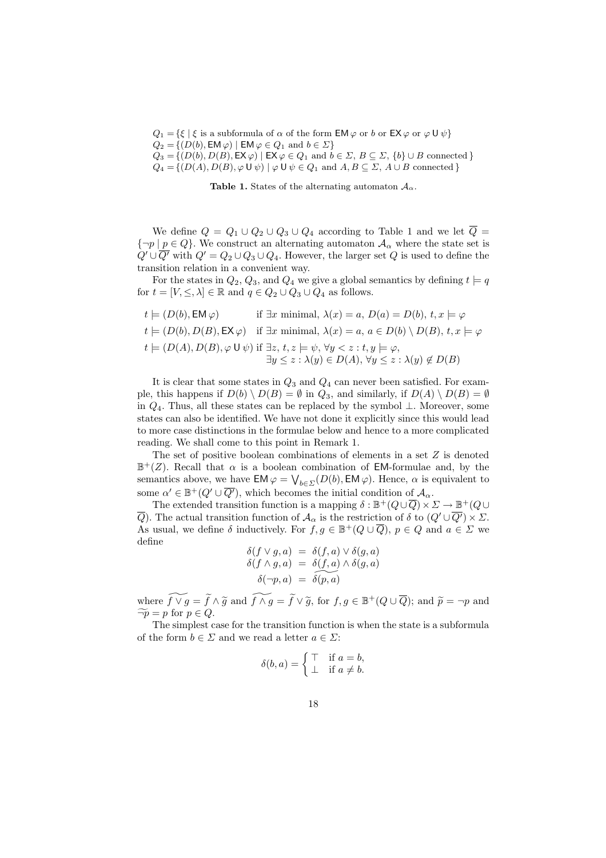$Q_1 = \{\xi \mid \xi \text{ is a subformula of } \alpha \text{ of the form } \text{EM} \varphi \text{ or } b \text{ or } \text{EX} \varphi \text{ or } \varphi \cup \psi\}$  $Q_2 = \{(D(b), \text{EM}\,\varphi) \mid \text{EM}\,\varphi \in Q_1 \text{ and } b \in \varSigma\}$  $Q_3 = \{(D(b), D(B), \mathsf{EX}_{\varphi}) \mid \mathsf{EX}_{\varphi} \in Q_1 \text{ and } b \in \varSigma, B \subseteq \varSigma, \{b\} \cup B \text{ connected}\}\$  $Q_4 = \{(D(A), D(B), \varphi \cup \psi) \mid \varphi \cup \psi \in Q_1 \text{ and } A, B \subseteq \varSigma, A \cup B \text{ connected }\}$ 

**Table 1.** States of the alternating automaton  $A_{\alpha}$ .

We define  $Q = Q_1 \cup Q_2 \cup Q_3 \cup Q_4$  according to Table 1 and we let  $\overline{Q}$  =  ${\lceil \neg p \mid p \in Q}$ . We construct an alternating automaton  $A_{\alpha}$  where the state set is  $Q' \cup \overline{Q'}$  with  $Q' = Q_2 \cup Q_3 \cup Q_4$ . However, the larger set Q is used to define the transition relation in a convenient way.

For the states in  $Q_2$ ,  $Q_3$ , and  $Q_4$  we give a global semantics by defining  $t \models q$ for  $t = [V, \leq, \lambda] \in \mathbb{R}$  and  $q \in Q_2 \cup Q_3 \cup Q_4$  as follows.

$$
t \models (D(b), \text{EM}\,\varphi) \quad \text{if } \exists x \text{ minimal, } \lambda(x) = a, D(a) = D(b), t, x \models \varphi
$$
  

$$
t \models (D(b), D(B), \text{EX}\,\varphi) \quad \text{if } \exists x \text{ minimal, } \lambda(x) = a, a \in D(b) \setminus D(B), t, x \models \varphi
$$
  

$$
t \models (D(A), D(B), \varphi \cup \psi) \text{ if } \exists z, t, z \models \psi, \forall y < z : t, y \models \varphi,
$$
  

$$
\exists y \le z : \lambda(y) \in D(A), \forall y \le z : \lambda(y) \notin D(B)
$$

It is clear that some states in  $Q_3$  and  $Q_4$  can never been satisfied. For example, this happens if  $D(b) \setminus D(B) = \emptyset$  in  $Q_3$ , and similarly, if  $D(A) \setminus D(B) = \emptyset$ in  $Q_4$ . Thus, all these states can be replaced by the symbol ⊥. Moreover, some states can also be identified. We have not done it explicitly since this would lead to more case distinctions in the formulae below and hence to a more complicated reading. We shall come to this point in Remark 1.

The set of positive boolean combinations of elements in a set  $Z$  is denoted  $\mathbb{B}^{+}(Z)$ . Recall that  $\alpha$  is a boolean combination of **EM**-formulae and, by the semantics above, we have  $\mathsf{EM}\,\varphi = \bigvee_{b \in \Sigma}(D(b), \mathsf{EM}\,\varphi)$ . Hence,  $\alpha$  is equivalent to some  $\alpha' \in \mathbb{B}^+(Q' \cup \overline{Q'})$ , which becomes the initial condition of  $\mathcal{A}_{\alpha}$ .

The extended transition function is a mapping  $\delta : \mathbb{B}^+(Q \cup \overline{Q}) \times \Sigma \to \mathbb{B}^+(Q \cup \overline{Q})$  $\overline{Q}$ ). The actual transition function of  $\mathcal{A}_{\alpha}$  is the restriction of  $\delta$  to  $(Q' \cup \overline{Q'}) \times \Sigma$ . As usual, we define  $\delta$  inductively. For  $f, g \in \mathbb{B}^+(Q \cup \overline{Q})$ ,  $p \in Q$  and  $a \in \Sigma$  we define

$$
\begin{array}{rcl}\n\delta(f \vee g, a) & = & \delta(f, a) \vee \delta(g, a) \\
\delta(f \wedge g, a) & = & \delta(f, a) \wedge \delta(g, a) \\
\delta(\neg p, a) & = & \delta(p, a)\n\end{array}
$$

where  $\widetilde{f \vee g} = \widetilde{f} \wedge \widetilde{g}$  and  $\widetilde{f \wedge g} = \widetilde{f} \vee \widetilde{g}$ , for  $f, g \in \mathbb{B}^+(Q \cup \overline{Q})$ ; and  $\widetilde{p} = \neg p$  and  $\widetilde{\neg p} = p$  for  $p \in Q$ .

The simplest case for the transition function is when the state is a subformula of the form  $b \in \Sigma$  and we read a letter  $a \in \Sigma$ :

$$
\delta(b, a) = \begin{cases} \top & \text{if } a = b, \\ \bot & \text{if } a \neq b. \end{cases}
$$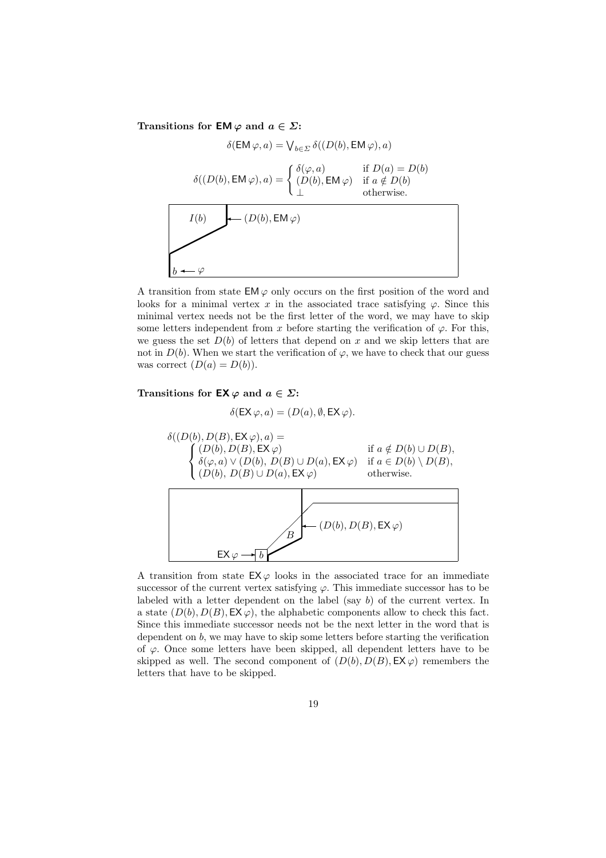Transitions for **EM**  $\varphi$  and  $a \in \Sigma$ :



A transition from state  $EM\varphi$  only occurs on the first position of the word and looks for a minimal vertex x in the associated trace satisfying  $\varphi$ . Since this minimal vertex needs not be the first letter of the word, we may have to skip some letters independent from x before starting the verification of  $\varphi$ . For this, we guess the set  $D(b)$  of letters that depend on x and we skip letters that are not in  $D(b)$ . When we start the verification of  $\varphi$ , we have to check that our guess was correct  $(D(a) = D(b)).$ 

#### Transitions for  $EX \varphi$  and  $a \in \Sigma$ :

$$
\delta(\mathsf{EX\,} \varphi, a) = (D(a), \emptyset, \mathsf{EX\,} \varphi).
$$



A transition from state  $EX \varphi$  looks in the associated trace for an immediate successor of the current vertex satisfying  $\varphi$ . This immediate successor has to be labeled with a letter dependent on the label (say  $b$ ) of the current vertex. In a state  $(D(b), D(B), EX \varphi)$ , the alphabetic components allow to check this fact. Since this immediate successor needs not be the next letter in the word that is dependent on b, we may have to skip some letters before starting the verification of  $\varphi$ . Once some letters have been skipped, all dependent letters have to be skipped as well. The second component of  $(D(b), D(B), \mathsf{EX}_{\varphi})$  remembers the letters that have to be skipped.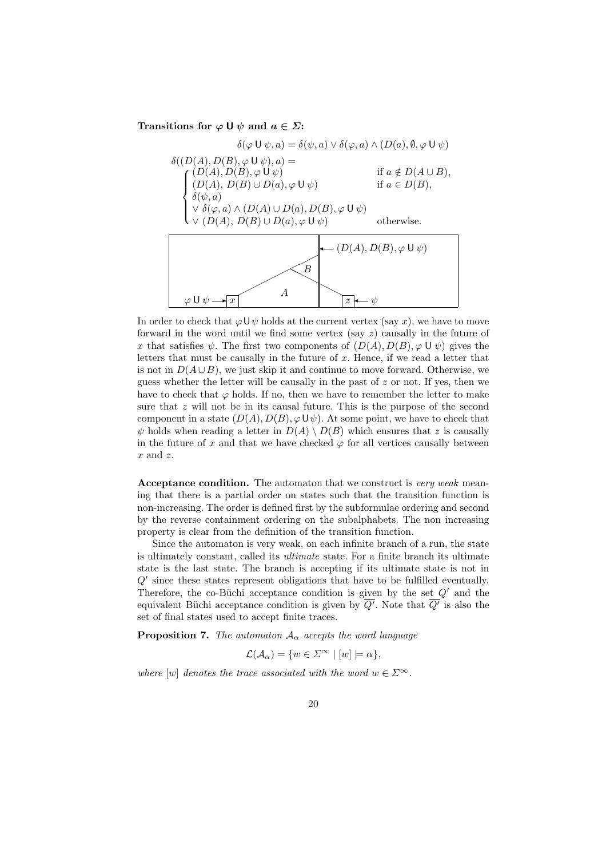#### Transitions for  $\varphi \mathsf{U} \psi$  and  $a \in \Sigma$ :



In order to check that  $\varphi \cup \psi$  holds at the current vertex (say x), we have to move forward in the word until we find some vertex (say  $z$ ) causally in the future of x that satisfies  $\psi$ . The first two components of  $(D(A), D(B), \varphi \cup \psi)$  gives the letters that must be causally in the future of  $x$ . Hence, if we read a letter that is not in  $D(A \cup B)$ , we just skip it and continue to move forward. Otherwise, we guess whether the letter will be causally in the past of  $z$  or not. If yes, then we have to check that  $\varphi$  holds. If no, then we have to remember the letter to make sure that  $z$  will not be in its causal future. This is the purpose of the second component in a state  $(D(A), D(B), \varphi \cup \psi)$ . At some point, we have to check that  $\psi$  holds when reading a letter in  $D(A) \setminus D(B)$  which ensures that z is causally in the future of x and that we have checked  $\varphi$  for all vertices causally between  $x$  and  $z$ .

Acceptance condition. The automaton that we construct is *very weak* meaning that there is a partial order on states such that the transition function is non-increasing. The order is defined first by the subformulae ordering and second by the reverse containment ordering on the subalphabets. The non increasing property is clear from the definition of the transition function.

Since the automaton is very weak, on each infinite branch of a run, the state is ultimately constant, called its ultimate state. For a finite branch its ultimate state is the last state. The branch is accepting if its ultimate state is not in  $Q'$  since these states represent obligations that have to be fulfilled eventually. Therefore, the co-Büchi acceptance condition is given by the set  $Q'$  and the equivalent Büchi acceptance condition is given by  $\overline{Q'}$ . Note that  $\overline{Q'}$  is also the set of final states used to accept finite traces.

**Proposition 7.** The automaton  $A_{\alpha}$  accepts the word language

$$
\mathcal{L}(\mathcal{A}_{\alpha}) = \{ w \in \Sigma^{\infty} \mid [w] \models \alpha \},
$$

where [w] denotes the trace associated with the word  $w \in \Sigma^{\infty}$ .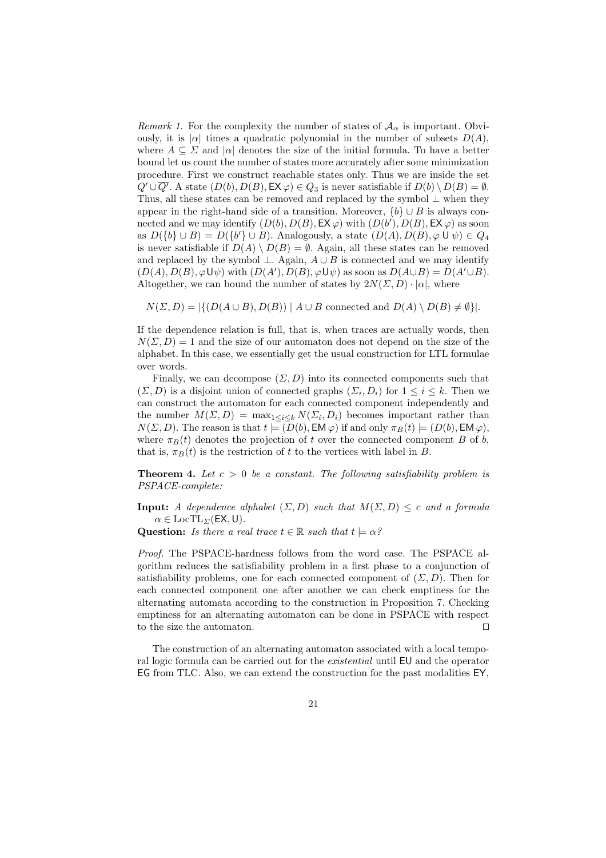Remark 1. For the complexity the number of states of  $A_{\alpha}$  is important. Obviously, it is  $|\alpha|$  times a quadratic polynomial in the number of subsets  $D(A)$ , where  $A \subseteq \Sigma$  and  $|\alpha|$  denotes the size of the initial formula. To have a better bound let us count the number of states more accurately after some minimization procedure. First we construct reachable states only. Thus we are inside the set  $Q' \cup \overline{Q'}$ . A state  $(D(b), D(B), \textsf{EX } \varphi) \in Q_3$  is never satisfiable if  $D(b) \setminus D(B) = \emptyset$ . Thus, all these states can be removed and replaced by the symbol  $\perp$  when they appear in the right-hand side of a transition. Moreover,  $\{b\} \cup B$  is always connected and we may identify  $(D(b), D(B), \text{EX } \varphi)$  with  $(D(b'), D(B), \text{EX } \varphi)$  as soon as  $D({b} \cup B) = D({b'} \cup B)$ . Analogously, a state  $(D(A), D(B), \varphi \cup \psi) \in Q_4$ is never satisfiable if  $D(A) \setminus D(B) = \emptyset$ . Again, all these states can be removed and replaced by the symbol  $\bot$ . Again,  $A \cup B$  is connected and we may identify  $(D(A), D(B), \varphi \cup \psi)$  with  $(D(A'), D(B), \varphi \cup \psi)$  as soon as  $D(A \cup B) = D(A' \cup B)$ . Altogether, we can bound the number of states by  $2N(\Sigma, D) \cdot |\alpha|$ , where

 $N(\Sigma, D) = |\{(D(A \cup B), D(B)) \mid A \cup B \text{ connected and } D(A) \setminus D(B) \neq \emptyset\}|.$ 

If the dependence relation is full, that is, when traces are actually words, then  $N(\Sigma, D) = 1$  and the size of our automaton does not depend on the size of the alphabet. In this case, we essentially get the usual construction for LTL formulae over words.

Finally, we can decompose  $(\Sigma, D)$  into its connected components such that  $(\Sigma, D)$  is a disjoint union of connected graphs  $(\Sigma_i, D_i)$  for  $1 \leq i \leq k$ . Then we can construct the automaton for each connected component independently and the number  $M(\Sigma, D) = \max_{1 \leq i \leq k} N(\Sigma_i, D_i)$  becomes important rather than  $N(\Sigma, D)$ . The reason is that  $t \models (D(b), \text{EM } \varphi)$  if and only  $\pi_B(t) \models (D(b), \text{EM } \varphi)$ , where  $\pi_B(t)$  denotes the projection of t over the connected component B of b, that is,  $\pi_B(t)$  is the restriction of t to the vertices with label in B.

**Theorem 4.** Let  $c > 0$  be a constant. The following satisfiability problem is PSPACE-complete:

**Input:** A dependence alphabet  $(\Sigma, D)$  such that  $M(\Sigma, D) \leq c$  and a formula  $\alpha \in \text{LocTL}_{\Sigma}(\textsf{EX},\textsf{U}).$ 

Question: Is there a real trace  $t \in \mathbb{R}$  such that  $t \models \alpha$ ?

Proof. The PSPACE-hardness follows from the word case. The PSPACE algorithm reduces the satisfiability problem in a first phase to a conjunction of satisfiability problems, one for each connected component of  $(\Sigma, D)$ . Then for each connected component one after another we can check emptiness for the alternating automata according to the construction in Proposition 7. Checking emptiness for an alternating automaton can be done in PSPACE with respect to the size the automaton.  $\Box$ 

The construction of an alternating automaton associated with a local temporal logic formula can be carried out for the *existential* until EU and the operator EG from TLC. Also, we can extend the construction for the past modalities EY,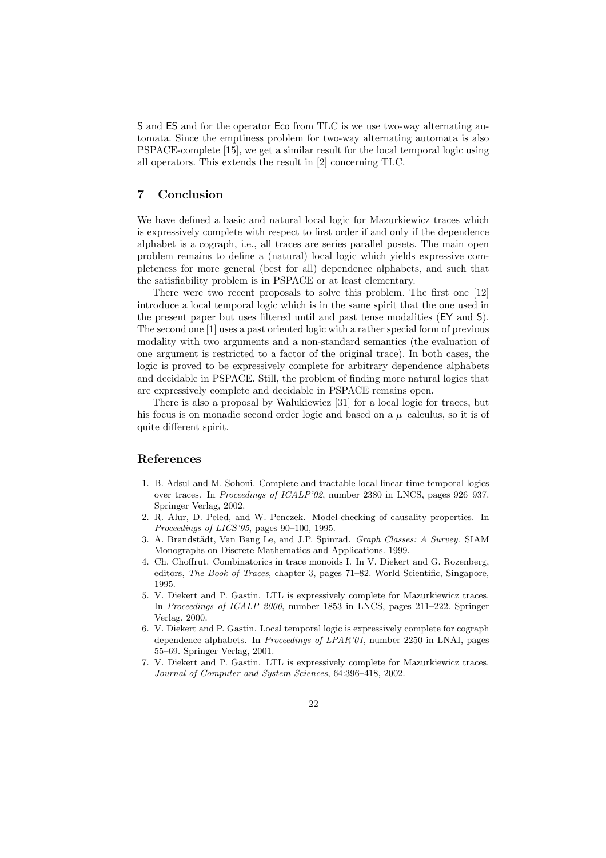S and ES and for the operator Eco from TLC is we use two-way alternating automata. Since the emptiness problem for two-way alternating automata is also PSPACE-complete [15], we get a similar result for the local temporal logic using all operators. This extends the result in [2] concerning TLC.

## 7 Conclusion

We have defined a basic and natural local logic for Mazurkiewicz traces which is expressively complete with respect to first order if and only if the dependence alphabet is a cograph, i.e., all traces are series parallel posets. The main open problem remains to define a (natural) local logic which yields expressive completeness for more general (best for all) dependence alphabets, and such that the satisfiability problem is in PSPACE or at least elementary.

There were two recent proposals to solve this problem. The first one [12] introduce a local temporal logic which is in the same spirit that the one used in the present paper but uses filtered until and past tense modalities (EY and S). The second one [1] uses a past oriented logic with a rather special form of previous modality with two arguments and a non-standard semantics (the evaluation of one argument is restricted to a factor of the original trace). In both cases, the logic is proved to be expressively complete for arbitrary dependence alphabets and decidable in PSPACE. Still, the problem of finding more natural logics that are expressively complete and decidable in PSPACE remains open.

There is also a proposal by Walukiewicz [31] for a local logic for traces, but his focus is on monadic second order logic and based on a  $\mu$ –calculus, so it is of quite different spirit.

#### References

- 1. B. Adsul and M. Sohoni. Complete and tractable local linear time temporal logics over traces. In Proceedings of ICALP'02, number 2380 in LNCS, pages 926–937. Springer Verlag, 2002.
- 2. R. Alur, D. Peled, and W. Penczek. Model-checking of causality properties. In Proceedings of LICS'95, pages 90–100, 1995.
- 3. A. Brandstädt, Van Bang Le, and J.P. Spinrad. Graph Classes: A Survey. SIAM Monographs on Discrete Mathematics and Applications. 1999.
- 4. Ch. Choffrut. Combinatorics in trace monoids I. In V. Diekert and G. Rozenberg, editors, The Book of Traces, chapter 3, pages 71–82. World Scientific, Singapore, 1995.
- 5. V. Diekert and P. Gastin. LTL is expressively complete for Mazurkiewicz traces. In Proceedings of ICALP 2000, number 1853 in LNCS, pages 211–222. Springer Verlag, 2000.
- 6. V. Diekert and P. Gastin. Local temporal logic is expressively complete for cograph dependence alphabets. In Proceedings of LPAR'01, number 2250 in LNAI, pages 55–69. Springer Verlag, 2001.
- 7. V. Diekert and P. Gastin. LTL is expressively complete for Mazurkiewicz traces. Journal of Computer and System Sciences, 64:396–418, 2002.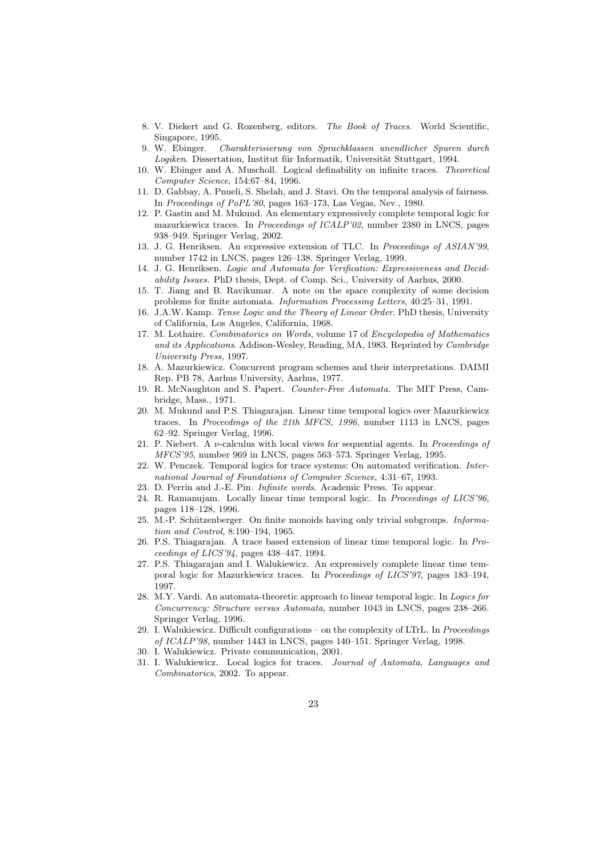- 8. V. Diekert and G. Rozenberg, editors. The Book of Traces. World Scientific, Singapore, 1995.
- 9. W. Ebinger. Charakterisierung von Sprachklassen unendlicher Spuren durch Logiken. Dissertation, Institut für Informatik, Universität Stuttgart, 1994.
- 10. W. Ebinger and A. Muscholl. Logical definability on infinite traces. Theoretical Computer Science, 154:67–84, 1996.
- 11. D. Gabbay, A. Pnueli, S. Shelah, and J. Stavi. On the temporal analysis of fairness. In Proceedings of PoPL'80, pages 163–173, Las Vegas, Nev., 1980.
- 12. P. Gastin and M. Mukund. An elementary expressively complete temporal logic for mazurkiewicz traces. In Proceedings of ICALP'02, number 2380 in LNCS, pages 938–949. Springer Verlag, 2002.
- 13. J. G. Henriksen. An expressive extension of TLC. In Proceedings of ASIAN'99, number 1742 in LNCS, pages 126–138. Springer Verlag, 1999.
- 14. J. G. Henriksen. Logic and Automata for Verification: Expressiveness and Decidability Issues. PhD thesis, Dept. of Comp. Sci., University of Aarhus, 2000.
- 15. T. Jiang and B. Ravikumar. A note on the space complexity of some decision problems for finite automata. Information Processing Letters, 40:25–31, 1991.
- 16. J.A.W. Kamp. Tense Logic and the Theory of Linear Order. PhD thesis, University of California, Los Angeles, California, 1968.
- 17. M. Lothaire. Combinatorics on Words, volume 17 of Encyclopedia of Mathematics and its Applications. Addison-Wesley, Reading, MA, 1983. Reprinted by Cambridge University Press, 1997.
- 18. A. Mazurkiewicz. Concurrent program schemes and their interpretations. DAIMI Rep. PB 78, Aarhus University, Aarhus, 1977.
- 19. R. McNaughton and S. Papert. Counter-Free Automata. The MIT Press, Cambridge, Mass., 1971.
- 20. M. Mukund and P.S. Thiagarajan. Linear time temporal logics over Mazurkiewicz traces. In Proceedings of the 21th MFCS, 1996, number 1113 in LNCS, pages 62–92. Springer Verlag, 1996.
- 21. P. Niebert. A  $\nu$ -calculus with local views for sequential agents. In *Proceedings of* MFCS'95, number 969 in LNCS, pages 563–573. Springer Verlag, 1995.
- 22. W. Penczek. Temporal logics for trace systems: On automated verification. International Journal of Foundations of Computer Science, 4:31–67, 1993.
- 23. D. Perrin and J.-E. Pin. Infinite words. Academic Press. To appear.
- 24. R. Ramanujam. Locally linear time temporal logic. In Proceedings of LICS'96, pages 118–128, 1996.
- 25. M.-P. Schützenberger. On finite monoids having only trivial subgroups. *Informa*tion and Control, 8:190–194, 1965.
- 26. P.S. Thiagarajan. A trace based extension of linear time temporal logic. In Proceedings of LICS'94, pages 438–447, 1994.
- 27. P.S. Thiagarajan and I. Walukiewicz. An expressively complete linear time temporal logic for Mazurkiewicz traces. In Proceedings of LICS'97, pages 183–194, 1997.
- 28. M.Y. Vardi. An automata-theoretic approach to linear temporal logic. In Logics for Concurrency: Structure versus Automata, number 1043 in LNCS, pages 238–266. Springer Verlag, 1996.
- 29. I. Walukiewicz. Difficult configurations on the complexity of LTrL. In Proceedings of ICALP'98, number 1443 in LNCS, pages 140–151. Springer Verlag, 1998.
- 30. I. Walukiewicz. Private communication, 2001.
- 31. I. Walukiewicz. Local logics for traces. Journal of Automata, Languages and Combinatorics, 2002. To appear.